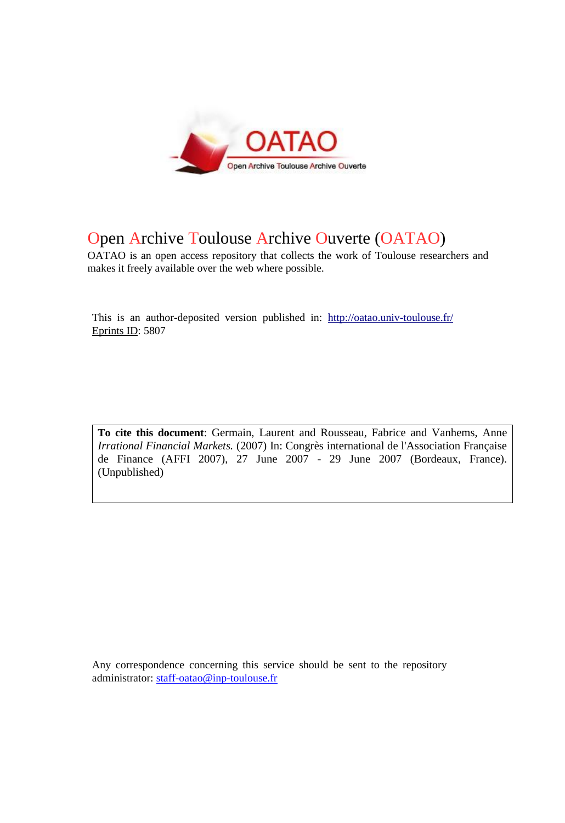

# Open Archive Toulouse Archive Ouverte (OATAO)

OATAO is an open access repository that collects the work of Toulouse researchers and makes it freely available over the web where possible.

This is an author-deposited version published in: <http://oatao.univ-toulouse.fr/> Eprints ID: 5807

**To cite this document**: Germain, Laurent and Rousseau, Fabrice and Vanhems, Anne *Irrational Financial Markets.* (2007) In: Congrès international de l'Association Française de Finance (AFFI 2007), 27 June 2007 - 29 June 2007 (Bordeaux, France). (Unpublished)

Any correspondence concerning this service should be sent to the repository administrator: [staff-oatao@inp-toulouse.fr](mailto:staff-oatao@inp-toulouse.fr)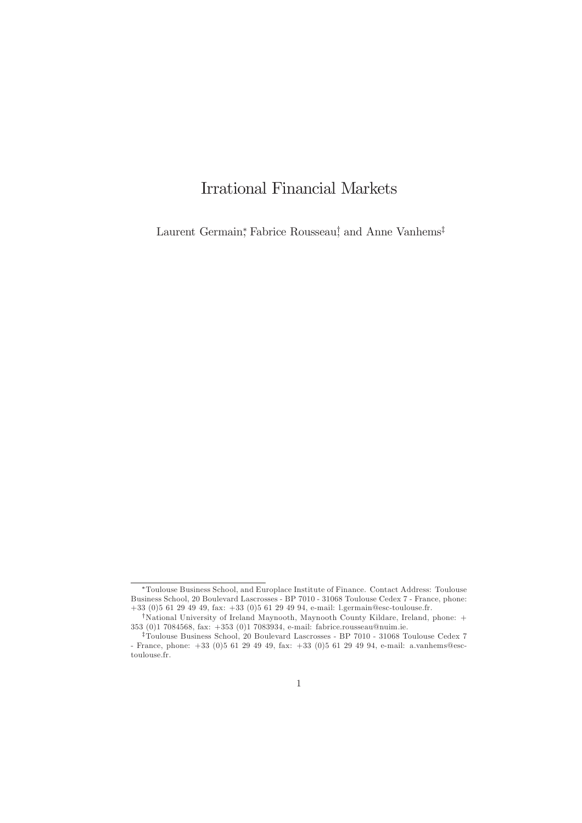## **Irrational Financial Markets**

Laurent Germain, Fabrice Rousseau, and Anne Vanhems<sup>†</sup>

<sup>\*</sup>Toulouse Business School, and Europlace Institute of Finance. Contact Address: Toulouse Business School, 20 Boulevard Lascrosses - BP 7010 - 31068 Toulouse Cedex 7 - France, phone:  $+33$  (0)5 61 29 49 49, fax:  $+33$  (0)5 61 29 49 94, e-mail: l.germain@esc-toulouse.fr.

<sup>&</sup>lt;sup>†</sup>National University of Ireland Maynooth, Maynooth County Kildare, Ireland, phone: + 353 (0)1 7084568, fax: +353 (0)1 7083934, e-mail: fabrice.rousseau@nuim.ie.

<sup>&</sup>lt;sup>‡</sup>Toulouse Business School, 20 Boulevard Lascrosses - BP 7010 - 31068 Toulouse Cedex 7 - France, phone:  $+33$  (0)<br>5 61 29 49 49, fax:  $+33$  (0)<br>5 61 29 49 94, e-mail: a.vanhems@esctoulouse.fr.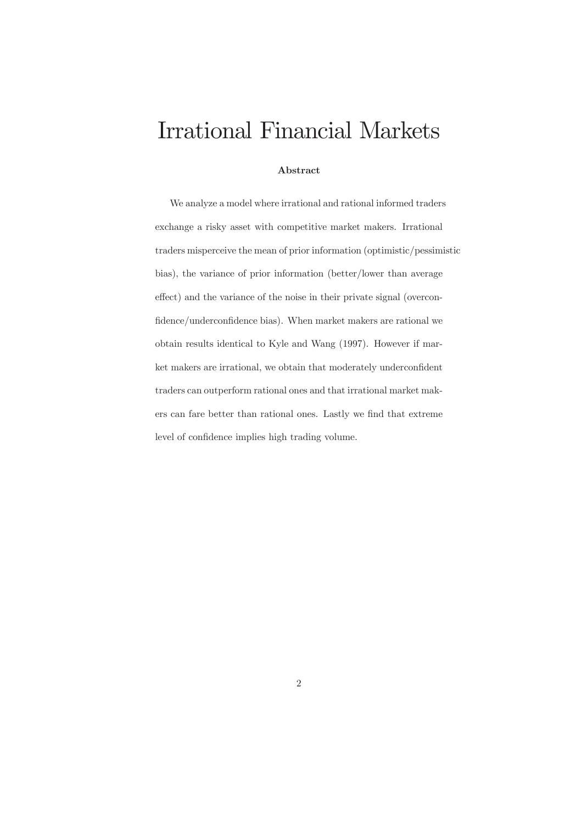# **Irrational Financial Markets**

## Abstract

We analyze a model where irrational and rational informed traders exchange a risky asset with competitive market makers. Irrational traders misperceive the mean of prior information (optimistic/pessimistic bias), the variance of prior information (better/lower than average effect) and the variance of the noise in their private signal (overconfidence/underconfidence bias). When market makers are rational we obtain results identical to Kyle and Wang (1997). However if market makers are irrational, we obtain that moderately underconfident traders can outperform rational ones and that irrational market makers can fare better than rational ones. Lastly we find that extreme level of confidence implies high trading volume.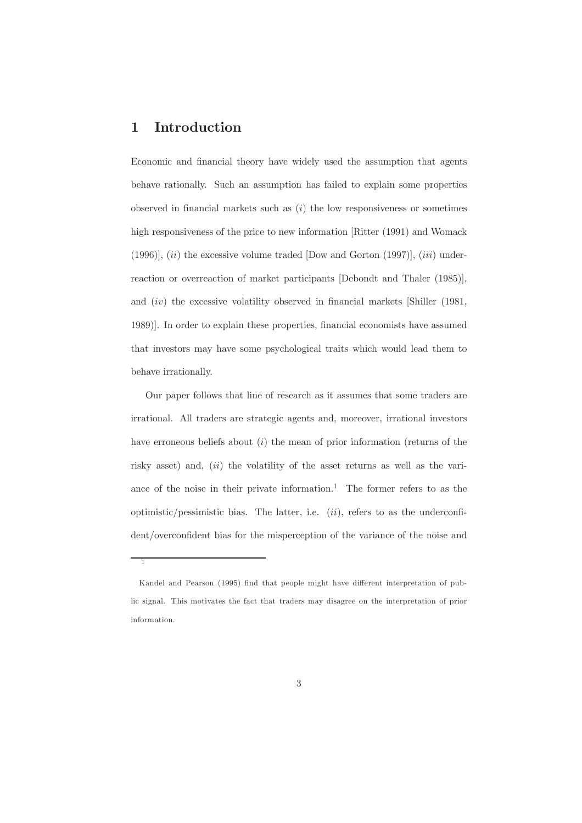#### Introduction  $\mathbf{1}$

Economic and financial theory have widely used the assumption that agents behave rationally. Such an assumption has failed to explain some properties observed in financial markets such as  $(i)$  the low responsiveness or sometimes high responsiveness of the price to new information [Ritter (1991) and Womack  $(1996)$ ,  $(ii)$  the excessive volume traded [Dow and Gorton (1997)],  $(iii)$  underreaction or overreaction of market participants [Debondt and Thaler (1985)], and  $(iv)$  the excessive volatility observed in financial markets [Shiller (1981, 1989). In order to explain these properties, financial economists have assumed that investors may have some psychological traits which would lead them to behave irrationally.

Our paper follows that line of research as it assumes that some traders are irrational. All traders are strategic agents and, moreover, irrational investors have erroneous beliefs about  $(i)$  the mean of prior information (returns of the risky asset) and,  $(ii)$  the volatility of the asset returns as well as the variance of the noise in their private information.<sup>1</sup> The former refers to as the optimistic/pessimistic bias. The latter, i.e.  $(ii)$ , refers to as the underconfident/overconfident bias for the misperception of the variance of the noise and

Kandel and Pearson (1995) find that people might have different interpretation of public signal. This motivates the fact that traders may disagree on the interpretation of prior information.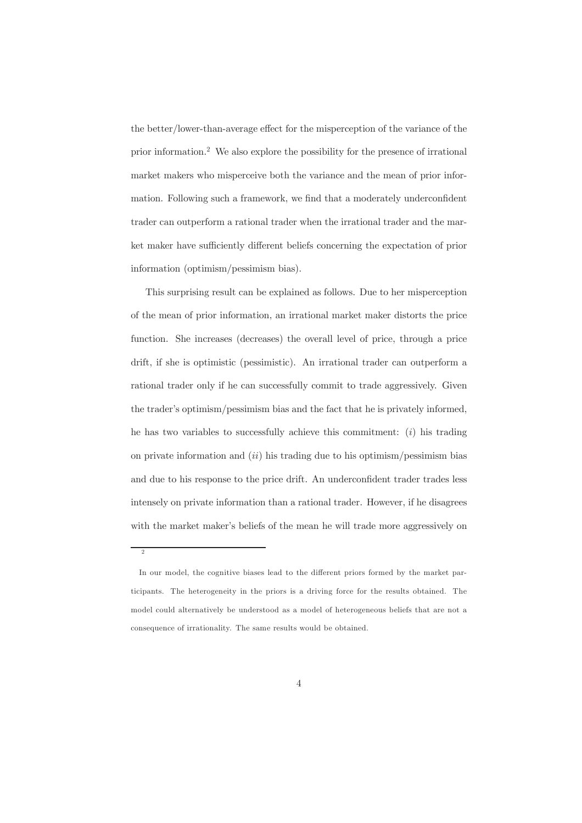the better/lower-than-average effect for the misperception of the variance of the prior information.<sup>2</sup> We also explore the possibility for the presence of irrational market makers who misperceive both the variance and the mean of prior information. Following such a framework, we find that a moderately underconfident trader can outperform a rational trader when the irrational trader and the market maker have sufficiently different beliefs concerning the expectation of prior information (optimism/pessimism bias).

This surprising result can be explained as follows. Due to her misperception of the mean of prior information, an irrational market maker distorts the price function. She increases (decreases) the overall level of price, through a price drift, if she is optimistic (pessimistic). An irrational trader can outperform a rational trader only if he can successfully commit to trade aggressively. Given the trader's optimism/pessimism bias and the fact that he is privately informed, he has two variables to successfully achieve this commitment:  $(i)$  his trading on private information and  $(ii)$  his trading due to his optimism/pessimism bias and due to his response to the price drift. An underconfident trader trades less intensely on private information than a rational trader. However, if he disagrees with the market maker's beliefs of the mean he will trade more aggressively on

 $\overline{2}$ 

In our model, the cognitive biases lead to the different priors formed by the market participants. The heterogeneity in the priors is a driving force for the results obtained. The model could alternatively be understood as a model of heterogeneous beliefs that are not a consequence of irrationality. The same results would be obtained.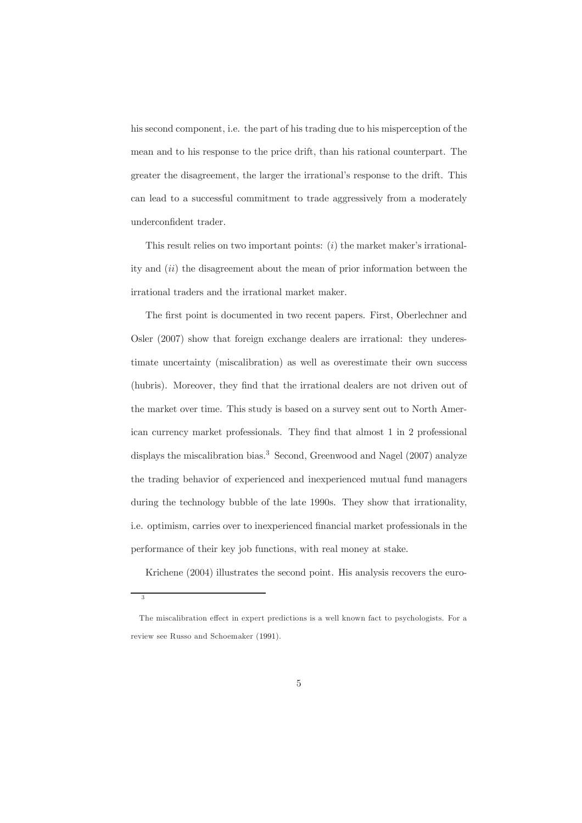his second component, i.e. the part of his trading due to his misperception of the mean and to his response to the price drift, than his rational counterpart. The greater the disagreement, the larger the irrational's response to the drift. This can lead to a successful commitment to trade aggressively from a moderately underconfident trader.

This result relies on two important points:  $(i)$  the market maker's irrationality and  $(ii)$  the disagreement about the mean of prior information between the irrational traders and the irrational market maker.

The first point is documented in two recent papers. First, Oberlechner and Osler  $(2007)$  show that foreign exchange dealers are irrational: they underestimate uncertainty (miscalibration) as well as overestimate their own success (hubris). Moreover, they find that the irrational dealers are not driven out of the market over time. This study is based on a survey sent out to North American currency market professionals. They find that almost 1 in 2 professional displays the miscalibration bias.<sup>3</sup> Second, Greenwood and Nagel  $(2007)$  analyze the trading behavior of experienced and inexperienced mutual fund managers during the technology bubble of the late 1990s. They show that irrationality, i.e. optimism, carries over to inexperienced financial market professionals in the performance of their key job functions, with real money at stake.

Krichene (2004) illustrates the second point. His analysis recovers the euro-

 $\overline{2}$ 

The miscalibration effect in expert predictions is a well known fact to psychologists. For a review see Russo and Schoemaker (1991).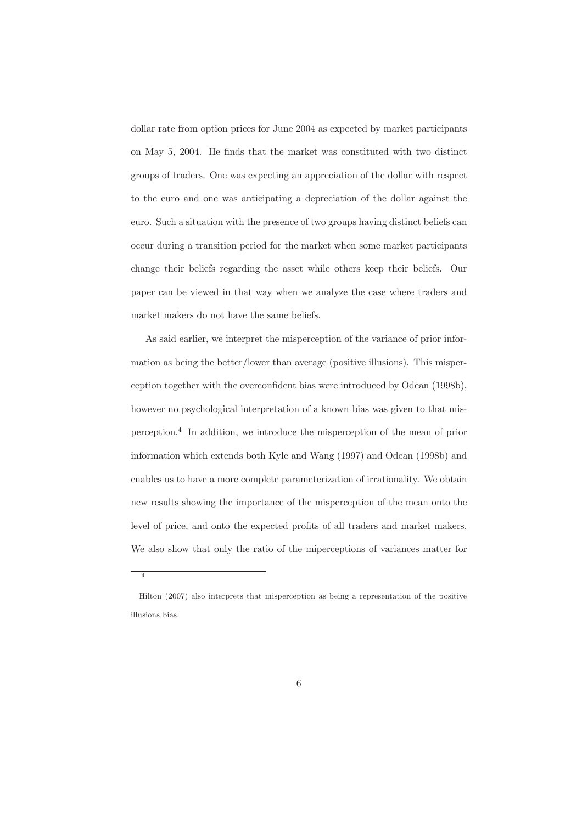dollar rate from option prices for June 2004 as expected by market participants on May 5, 2004. He finds that the market was constituted with two distinct groups of traders. One was expecting an appreciation of the dollar with respect to the euro and one was anticipating a depreciation of the dollar against the euro. Such a situation with the presence of two groups having distinct beliefs can occur during a transition period for the market when some market participants change their beliefs regarding the asset while others keep their beliefs. Our paper can be viewed in that way when we analyze the case where traders and market makers do not have the same beliefs.

As said earlier, we interpret the misperception of the variance of prior information as being the better/lower than average (positive illusions). This misperception together with the overconfident bias were introduced by Odean (1998b), however no psychological interpretation of a known bias was given to that misperception.<sup>4</sup> In addition, we introduce the misperception of the mean of prior information which extends both Kyle and Wang (1997) and Odean (1998b) and enables us to have a more complete parameterization of irrationality. We obtain new results showing the importance of the misperception of the mean onto the level of price, and onto the expected profits of all traders and market makers. We also show that only the ratio of the miperceptions of variances matter for

 $\overline{A}$ 

Hilton (2007) also interprets that misperception as being a representation of the positive illusions bias.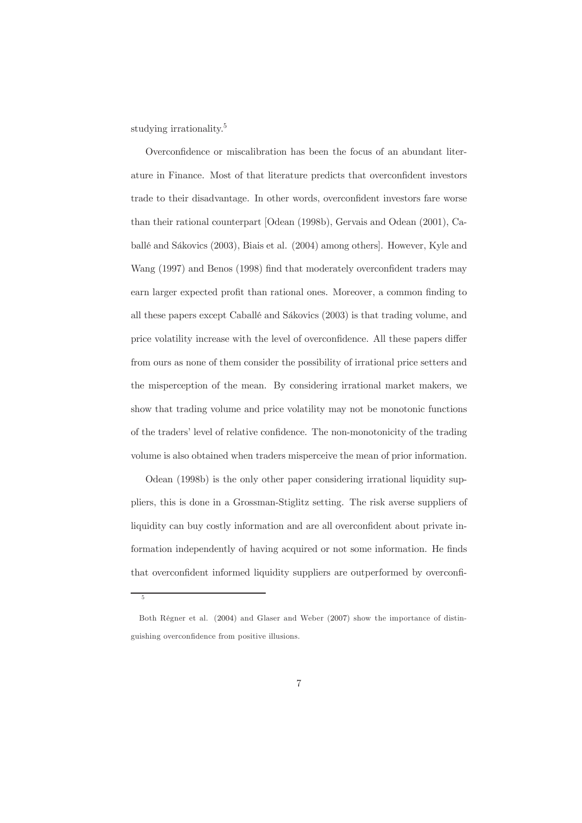studying irrationality.<sup>5</sup>

 $\kappa$ 

Overconfidence or miscalibration has been the focus of an abundant literature in Finance. Most of that literature predicts that overconfident investors trade to their disadvantage. In other words, overconfident investors fare worse than their rational counterpart [Odean (1998b), Gervais and Odean (2001), Caballé and Sákovics (2003), Biais et al. (2004) among others. However, Kyle and Wang (1997) and Benos (1998) find that moderately overconfident traders may earn larger expected profit than rational ones. Moreover, a common finding to all these papers except Caballé and Sákovics (2003) is that trading volume, and price volatility increase with the level of overconfidence. All these papers differ from ours as none of them consider the possibility of irrational price setters and the misperception of the mean. By considering irrational market makers, we show that trading volume and price volatility may not be monotonic functions of the traders' level of relative confidence. The non-monotonicity of the trading volume is also obtained when traders misperceive the mean of prior information.

Odean (1998b) is the only other paper considering irrational liquidity suppliers, this is done in a Grossman-Stiglitz setting. The risk averse suppliers of liquidity can buy costly information and are all overconfident about private information independently of having acquired or not some information. He finds that overconfident informed liquidity suppliers are outperformed by overconfi-

Both Régner et al. (2004) and Glaser and Weber (2007) show the importance of distinguishing overconfidence from positive illusions.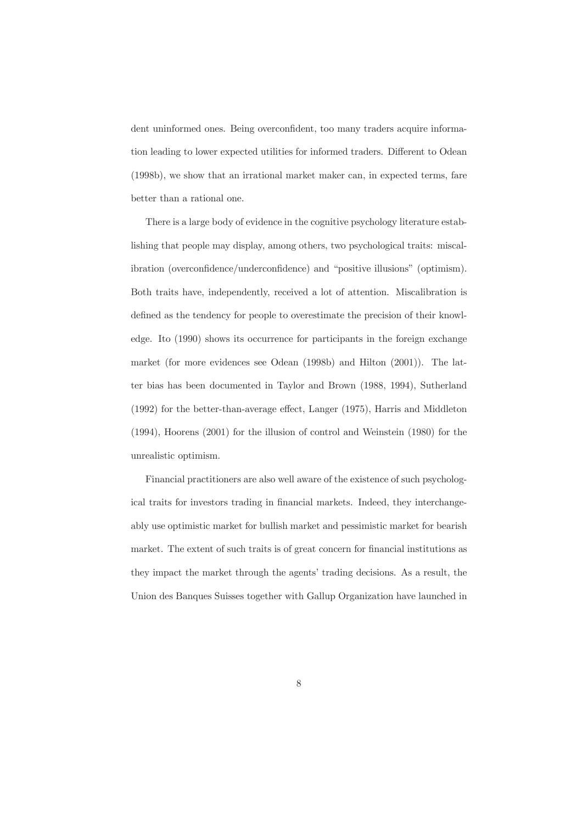dent uninformed ones. Being overconfident, too many traders acquire information leading to lower expected utilities for informed traders. Different to Odean (1998b), we show that an irrational market maker can, in expected terms, fare better than a rational one.

There is a large body of evidence in the cognitive psychology literature establishing that people may display, among others, two psychological traits: miscalibration (overconfidence/underconfidence) and "positive illusions" (optimism). Both traits have, independently, received a lot of attention. Miscalibration is defined as the tendency for people to overestimate the precision of their knowledge. Ito (1990) shows its occurrence for participants in the foreign exchange market (for more evidences see Odean (1998b) and Hilton (2001)). The latter bias has been documented in Taylor and Brown (1988, 1994), Sutherland  $(1992)$  for the better-than-average effect, Langer  $(1975)$ , Harris and Middleton  $(1994)$ , Hoorens  $(2001)$  for the illusion of control and Weinstein  $(1980)$  for the unrealistic optimism.

Financial practitioners are also well aware of the existence of such psychological traits for investors trading in financial markets. Indeed, they interchangeably use optimistic market for bullish market and pessimistic market for bearish market. The extent of such traits is of great concern for financial institutions as they impact the market through the agents' trading decisions. As a result, the Union des Banques Suisses together with Gallup Organization have launched in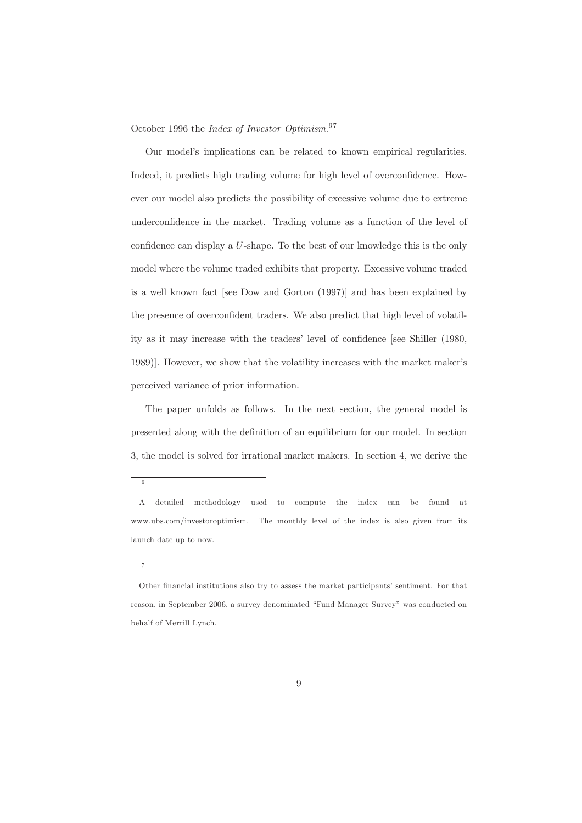October 1996 the *Index of Investor Optimism*.<sup>67</sup>

Our model's implications can be related to known empirical regularities. Indeed, it predicts high trading volume for high level of overconfidence. However our model also predicts the possibility of excessive volume due to extreme underconfidence in the market. Trading volume as a function of the level of confidence can display a  $U$ -shape. To the best of our knowledge this is the only model where the volume traded exhibits that property. Excessive volume traded is a well known fact [see Dow and Gorton (1997)] and has been explained by the presence of overconfident traders. We also predict that high level of volatility as it may increase with the traders' level of confidence [see Shiller (1980, 1989). However, we show that the volatility increases with the market maker's perceived variance of prior information.

The paper unfolds as follows. In the next section, the general model is presented along with the definition of an equilibrium for our model. In section 3, the model is solved for irrational market makers. In section 4, we derive the

6

detailed methodology  $\mathbf{A}$ used  $\mathbf{t}$ compute the index be found can - at www.ubs.com/investoroptimism. The monthly level of the index is also given from its launch date up to now.

 $\overline{7}$ 

Other financial institutions also try to assess the market participants' sentiment. For that reason, in September 2006, a survey denominated "Fund Manager Survey" was conducted on behalf of Merrill Lynch.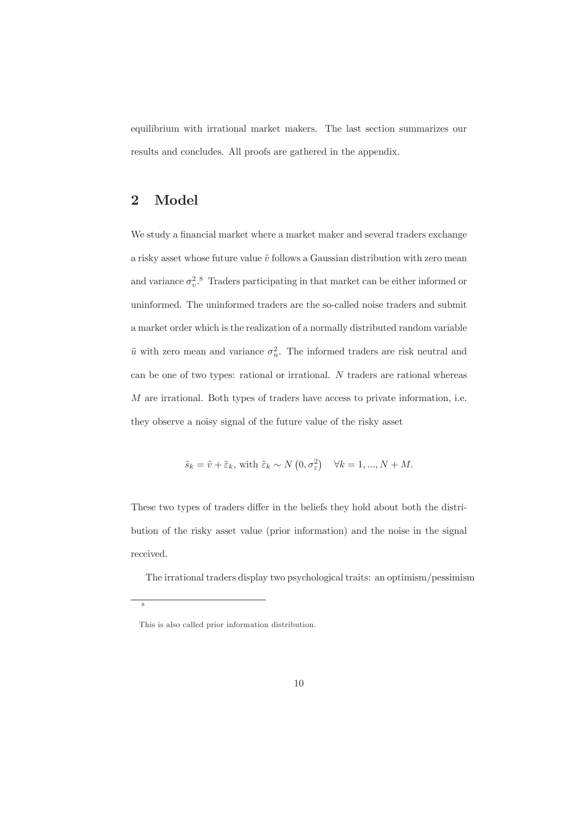equilibrium with irrational market makers. The last section summarizes our results and concludes. All proofs are gathered in the appendix.

#### $\overline{2}$ Model

We study a financial market where a market maker and several traders exchange a risky asset whose future value  $\tilde{v}$  follows a Gaussian distribution with zero mean and variance  $\sigma_v^2$ .<sup>8</sup> Traders participating in that market can be either informed or uninformed. The uninformed traders are the so-called noise traders and submit a market order which is the realization of a normally distributed random variable  $\tilde{u}$  with zero mean and variance  $\sigma_u^2$ . The informed traders are risk neutral and can be one of two types: rational or irrational.  $N$  traders are rational whereas  $M$  are irrational. Both types of traders have access to private information, i.e. they observe a noisy signal of the future value of the risky asset

$$
\tilde{s}_k = \tilde{v} + \tilde{\varepsilon}_k
$$
, with  $\tilde{\varepsilon}_k \sim N(0, \sigma_{\varepsilon}^2) \quad \forall k = 1, ..., N + M$ .

These two types of traders differ in the beliefs they hold about both the distribution of the risky asset value (prior information) and the noise in the signal received.

The irrational traders display two psychological traits: an optimism/pessimism

 $\overline{s}$ 

This is also called prior information distribution.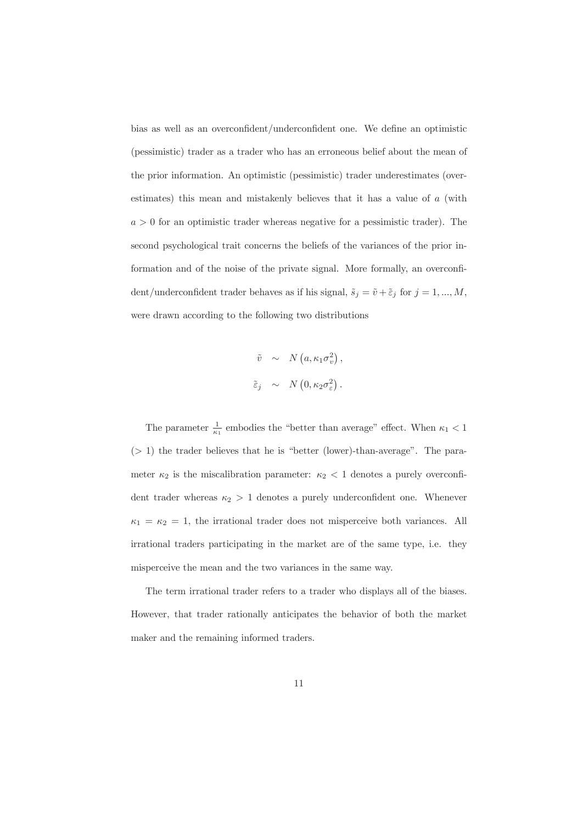bias as well as an overconfident/underconfident one. We define an optimistic (pessimistic) trader as a trader who has an erroneous belief about the mean of the prior information. An optimistic (pessimistic) trader underestimates (overestimates) this mean and mistakenly believes that it has a value of a (with  $a > 0$  for an optimistic trader whereas negative for a pessimistic trader). The second psychological trait concerns the beliefs of the variances of the prior information and of the noise of the private signal. More formally, an overconfident/under<br>confident trader behaves as if his signal,  $\tilde{s}_j = \tilde{v} + \tilde{\varepsilon}_j$  for<br>  $j=1,...,M,$ were drawn according to the following two distributions

$$
\tilde{v} \sim N(a, \kappa_1 \sigma_v^2),
$$
  
\n $\tilde{\epsilon}_j \sim N(0, \kappa_2 \sigma_e^2).$ 

The parameter  $\frac{1}{\kappa_1}$  embodies the "better than average" effect. When  $\kappa_1 < 1$  $($  > 1) the trader believes that he is "better (lower)-than-average". The parameter  $\kappa_2$  is the miscalibration parameter:  $\kappa_2$  < 1 denotes a purely overconfident trader whereas  $\kappa_2 > 1$  denotes a purely underconfident one. Whenever  $\kappa_1 = \kappa_2 = 1$ , the irrational trader does not misperceive both variances. All irrational traders participating in the market are of the same type, i.e. they misperceive the mean and the two variances in the same way.

The term irrational trader refers to a trader who displays all of the biases. However, that trader rationally anticipates the behavior of both the market maker and the remaining informed traders.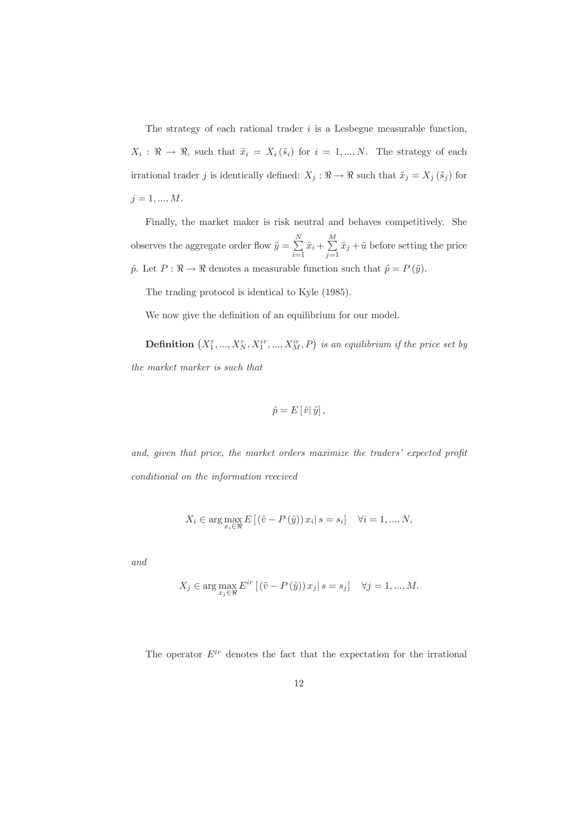The strategy of each rational trader  $i$  is a Lesbegue measurable function,  $X_i$ :  $\Re \to \Re$ , such that  $\tilde{x}_i = X_i(\tilde{s}_i)$  for  $i = 1,...,N$ . The strategy of each irrational trader  $j$  is identically defined:  $X_j: \Re \to \Re$  such that  $\tilde{x}_j = X_j \left( \tilde{s}_j \right)$  for  $j = 1, ..., M.$ 

Finally, the market maker is risk neutral and behaves competitively. She observes the aggregate order flow  $\tilde{y}=\sum\limits_{i=1}^N \tilde{x}_i+\sum\limits_{j=1}^M \tilde{x}_j+\tilde{u}$  before setting the price  $\tilde{p}.$  Let  $P:\Re\rightarrow \Re$  denotes a measurable function such that  $\tilde{p}=P\left(\tilde{y}\right).$ 

The trading protocol is identical to Kyle (1985).

We now give the definition of an equilibrium for our model.

**Definition**  $(X_1^r, ..., X_N^r, X_1^{ir}, ..., X_M^{ir}, P)$  is an equilibrium if the price set by the market marker is such that

$$
\tilde{p} = E[\tilde{v}|\tilde{y}],
$$

and, given that price, the market orders maximize the traders' expected profit conditional on the information received

$$
X_i \in \arg \max_{x_i \in \Re} E\left[ (\tilde{v} - P(\tilde{y})) x_i | s = s_i \right] \quad \forall i = 1, ..., N
$$

and

$$
X_j \in \arg\max_{x_j \in \Re} E^{ir} \left[ \left( \tilde{v} - P\left( \tilde{y} \right) \right) x_j \, | \, s = s_j \right] \quad \forall j = 1, ..., M
$$

The operator  $E^{ir}$  denotes the fact that the expectation for the irrational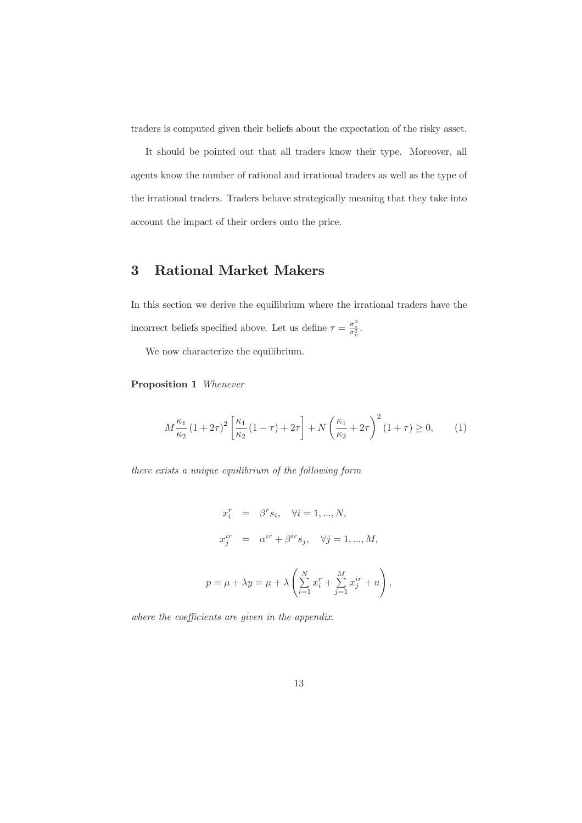traders is computed given their beliefs about the expectation of the risky asset.

It should be pointed out that all traders know their type. Moreover, all agents know the number of rational and irrational traders as well as the type of the irrational traders. Traders behave strategically meaning that they take into account the impact of their orders onto the price.

#### 3 **Rational Market Makers**

In this section we derive the equilibrium where the irrational traders have the incorrect beliefs specified above. Let us define  $\tau=\frac{\sigma_{\varepsilon}^2}{\sigma_{v}^2}.$ 

We now characterize the equilibrium.

**Proposition 1** Whenever

$$
M\frac{\kappa_1}{\kappa_2} (1+2\tau)^2 \left[ \frac{\kappa_1}{\kappa_2} (1-\tau) + 2\tau \right] + N \left( \frac{\kappa_1}{\kappa_2} + 2\tau \right)^2 (1+\tau) \ge 0, \qquad (1)
$$

there exists a unique equilibrium of the following form

$$
x_i^r = \beta^r s_i, \quad \forall i = 1, ..., N,
$$
  
\n
$$
x_j^{ir} = \alpha^{ir} + \beta^{ir} s_j, \quad \forall j = 1, ..., M,
$$
  
\n
$$
p = \mu + \lambda y = \mu + \lambda \left( \sum_{i=1}^N x_i^r + \sum_{j=1}^M x_j^{ir} + u \right).
$$

where the coefficients are given in the appendix.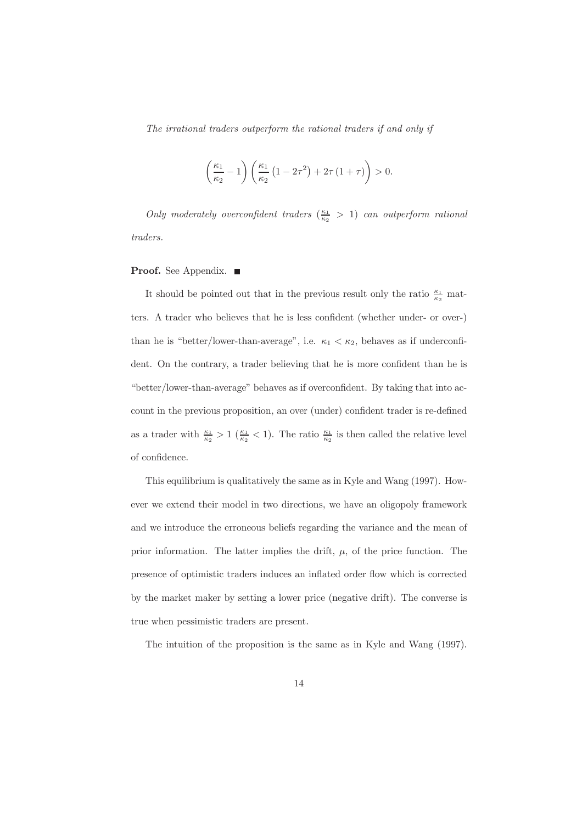The irrational traders outperform the rational traders if and only if

$$
\left(\frac{\kappa_1}{\kappa_2} - 1\right) \left(\frac{\kappa_1}{\kappa_2} \left(1 - 2\tau^2\right) + 2\tau \left(1 + \tau\right)\right) > 0.
$$

Only moderately overconfident traders  $(\frac{\kappa_1}{\kappa_2} > 1)$  can outperform rational traders.

## **Proof.** See Appendix.  $\blacksquare$

It should be pointed out that in the previous result only the ratio  $\frac{\kappa_1}{\kappa_2}$  matters. A trader who believes that he is less confident (whether under- or over-) than he is "better/lower-than-average", i.e.  $\kappa_1 < \kappa_2$ , behaves as if underconfident. On the contrary, a trader believing that he is more confident than he is "better/lower-than-average" behaves as if overconfident. By taking that into account in the previous proposition, an over (under) confident trader is re-defined as a trader with  $\frac{\kappa_1}{\kappa_2} > 1$  ( $\frac{\kappa_1}{\kappa_2} < 1$ ). The ratio  $\frac{\kappa_1}{\kappa_2}$  is then called the relative level of confidence.

This equilibrium is qualitatively the same as in Kyle and Wang (1997). However we extend their model in two directions, we have an oligopoly framework and we introduce the erroneous beliefs regarding the variance and the mean of prior information. The latter implies the drift,  $\mu$ , of the price function. The presence of optimistic traders induces an inflated order flow which is corrected by the market maker by setting a lower price (negative drift). The converse is true when pessimistic traders are present.

The intuition of the proposition is the same as in Kyle and Wang (1997).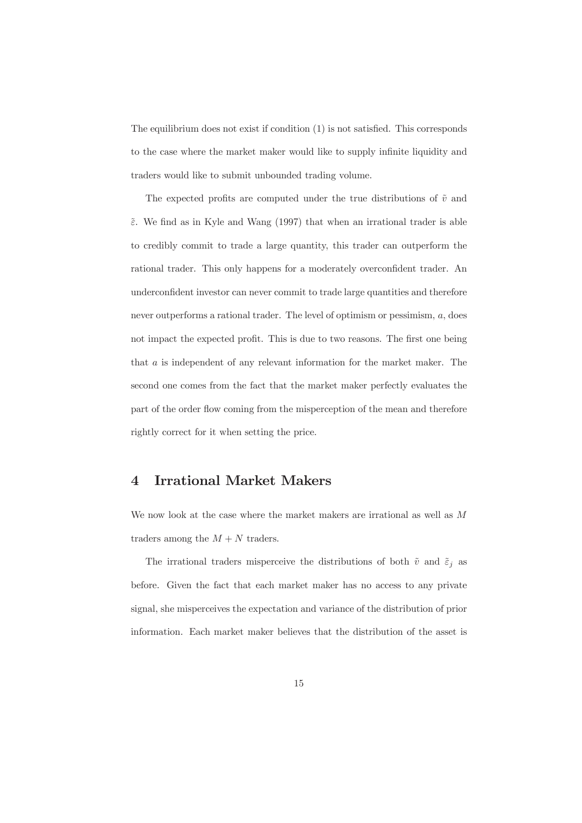The equilibrium does not exist if condition  $(1)$  is not satisfied. This corresponds to the case where the market maker would like to supply infinite liquidity and traders would like to submit unbounded trading volume.

The expected profits are computed under the true distributions of  $\tilde{v}$  and  $\tilde{\varepsilon}$ . We find as in Kyle and Wang (1997) that when an irrational trader is able to credibly commit to trade a large quantity, this trader can outperform the rational trader. This only happens for a moderately overconfident trader. An underconfident investor can never commit to trade large quantities and therefore never outperforms a rational trader. The level of optimism or pessimism,  $a$ , does not impact the expected profit. This is due to two reasons. The first one being that  $a$  is independent of any relevant information for the market maker. The second one comes from the fact that the market maker perfectly evaluates the part of the order flow coming from the misperception of the mean and therefore rightly correct for it when setting the price.

#### **Irrational Market Makers**  $\overline{4}$

We now look at the case where the market makers are irrational as well as  $M$ traders among the  $M + N$  traders.

The irrational traders misperceive the distributions of both  $\tilde{v}$  and  $\tilde{\varepsilon}_j$  as before. Given the fact that each market maker has no access to any private signal, she misperceives the expectation and variance of the distribution of prior information. Each market maker believes that the distribution of the asset is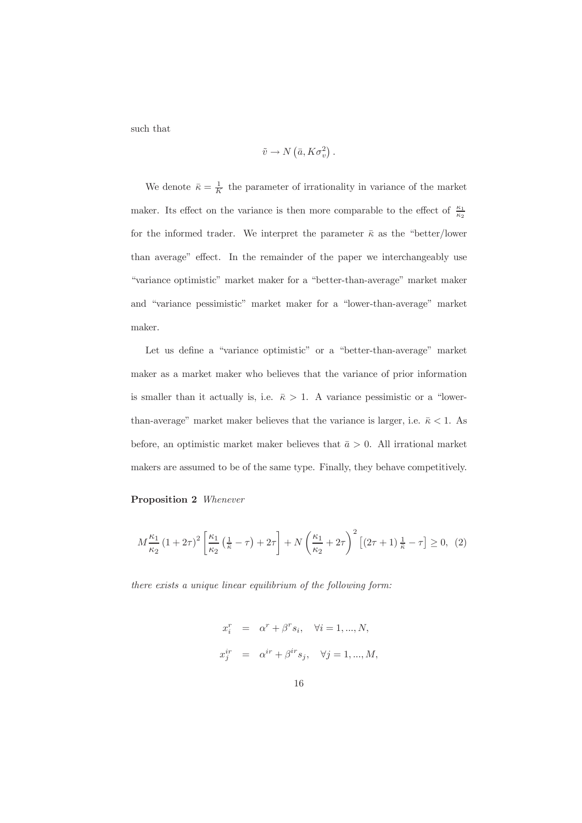such that

$$
\tilde{v} \to N\left(\bar{a}, K\sigma_v^2\right)
$$

We denote  $\bar{\kappa} = \frac{1}{K}$  the parameter of irrationality in variance of the market maker. Its effect on the variance is then more comparable to the effect of  $\frac{\kappa_1}{\kappa_2}$ for the informed trader. We interpret the parameter  $\bar{\kappa}$  as the "better/lower than average" effect. In the remainder of the paper we interchangeably use "variance optimistic" market maker for a "better-than-average" market maker and "variance pessimistic" market maker for a "lower-than-average" market maker.

Let us define a "variance optimistic" or a "better-than-average" market maker as a market maker who believes that the variance of prior information is smaller than it actually is, i.e.  $\bar{\kappa} > 1$ . A variance pessimistic or a "lowerthan-average" market maker believes that the variance is larger, i.e.  $\bar{\kappa} < 1$ . As before, an optimistic market maker believes that  $\bar{a} > 0$ . All irrational market makers are assumed to be of the same type. Finally, they behave competitively.

#### **Proposition 2** Whenever

$$
M\frac{\kappa_1}{\kappa_2} (1+2\tau)^2 \left[ \frac{\kappa_1}{\kappa_2} \left( \frac{1}{\bar{\kappa}} - \tau \right) + 2\tau \right] + N \left( \frac{\kappa_1}{\kappa_2} + 2\tau \right)^2 \left[ (2\tau + 1) \frac{1}{\bar{\kappa}} - \tau \right] \ge 0, \tag{2}
$$

there exists a unique linear equilibrium of the following form:

$$
\begin{array}{rcl} x_i^r & = & \alpha^r + \beta^r s_i, \quad \forall i = 1, ..., N, \\[3mm] x_j^{ir} & = & \alpha^{ir} + \beta^{ir} s_j, \quad \forall j = 1, ..., M, \end{array}
$$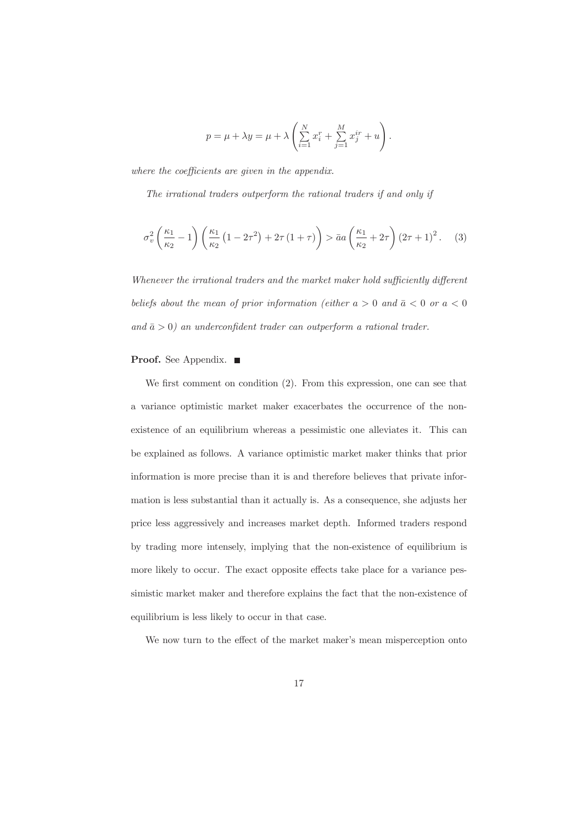$$
p = \mu + \lambda y = \mu + \lambda \left( \sum_{i=1}^{N} x_i^r + \sum_{j=1}^{M} x_j^{ir} + u \right).
$$

where the coefficients are given in the appendix.

The irrational traders outperform the rational traders if and only if

$$
\sigma_v^2 \left( \frac{\kappa_1}{\kappa_2} - 1 \right) \left( \frac{\kappa_1}{\kappa_2} \left( 1 - 2\tau^2 \right) + 2\tau \left( 1 + \tau \right) \right) > \bar{a}a \left( \frac{\kappa_1}{\kappa_2} + 2\tau \right) \left( 2\tau + 1 \right)^2. \tag{3}
$$

Whenever the irrational traders and the market maker hold sufficiently different beliefs about the mean of prior information (either  $a > 0$  and  $\bar{a} < 0$  or  $a < 0$ and  $\bar{a} > 0$ ) an underconfident trader can outperform a rational trader.

## **Proof.** See Appendix.  $\blacksquare$

We first comment on condition  $(2)$ . From this expression, one can see that a variance optimistic market maker exacerbates the occurrence of the nonexistence of an equilibrium whereas a pessimistic one alleviates it. This can be explained as follows. A variance optimistic market maker thinks that prior information is more precise than it is and therefore believes that private information is less substantial than it actually is. As a consequence, she adjusts her price less aggressively and increases market depth. Informed traders respond by trading more intensely, implying that the non-existence of equilibrium is more likely to occur. The exact opposite effects take place for a variance pessimistic market maker and therefore explains the fact that the non-existence of equilibrium is less likely to occur in that case.

We now turn to the effect of the market maker's mean misperception onto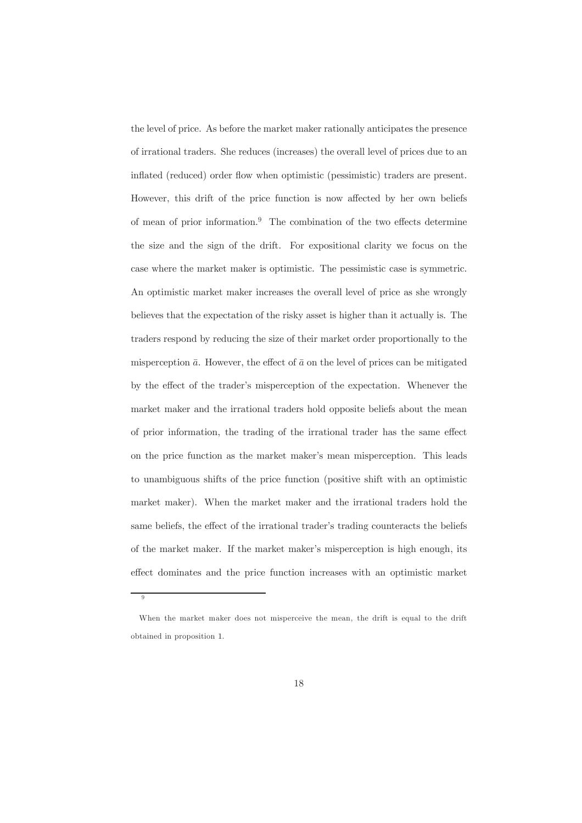the level of price. As before the market maker rationally anticipates the presence of irrational traders. She reduces (increases) the overall level of prices due to an inflated (reduced) order flow when optimistic (pessimistic) traders are present. However, this drift of the price function is now affected by her own beliefs of mean of prior information.<sup>9</sup> The combination of the two effects determine the size and the sign of the drift. For expositional clarity we focus on the case where the market maker is optimistic. The pessimistic case is symmetric. An optimistic market maker increases the overall level of price as she wrongly believes that the expectation of the risky asset is higher than it actually is. The traders respond by reducing the size of their market order proportionally to the misperception  $\bar{a}$ . However, the effect of  $\bar{a}$  on the level of prices can be mitigated by the effect of the trader's misperception of the expectation. Whenever the market maker and the irrational traders hold opposite beliefs about the mean of prior information, the trading of the irrational trader has the same effect on the price function as the market maker's mean misperception. This leads to unambiguous shifts of the price function (positive shift with an optimistic market maker). When the market maker and the irrational traders hold the same beliefs, the effect of the irrational trader's trading counteracts the beliefs of the market maker. If the market maker's misperception is high enough, its effect dominates and the price function increases with an optimistic market

 $\alpha$ 

When the market maker does not misperceive the mean, the drift is equal to the drift obtained in proposition 1.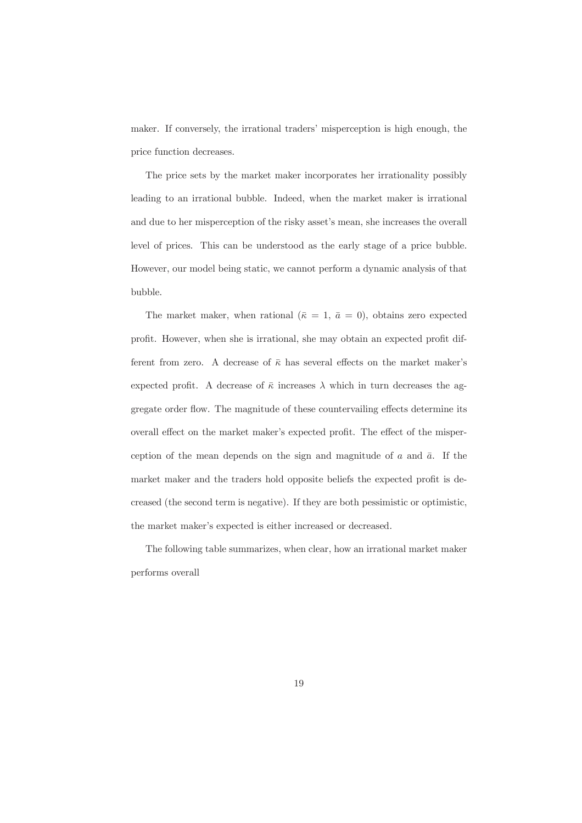maker. If conversely, the irrational traders' misperception is high enough, the price function decreases.

The price sets by the market maker incorporates her irrationality possibly leading to an irrational bubble. Indeed, when the market maker is irrational and due to her misperception of the risky asset's mean, she increases the overall level of prices. This can be understood as the early stage of a price bubble. However, our model being static, we cannot perform a dynamic analysis of that bubble.

The market maker, when rational ( $\bar{\kappa} = 1, \bar{a} = 0$ ), obtains zero expected profit. However, when she is irrational, she may obtain an expected profit different from zero. A decrease of  $\bar{\kappa}$  has several effects on the market maker's expected profit. A decrease of  $\bar{\kappa}$  increases  $\lambda$  which in turn decreases the aggregate order flow. The magnitude of these countervailing effects determine its overall effect on the market maker's expected profit. The effect of the misperception of the mean depends on the sign and magnitude of a and  $\bar{a}$ . If the market maker and the traders hold opposite beliefs the expected profit is decreased (the second term is negative). If they are both pessimistic or optimistic, the market maker's expected is either increased or decreased.

The following table summarizes, when clear, how an irrational market maker performs overall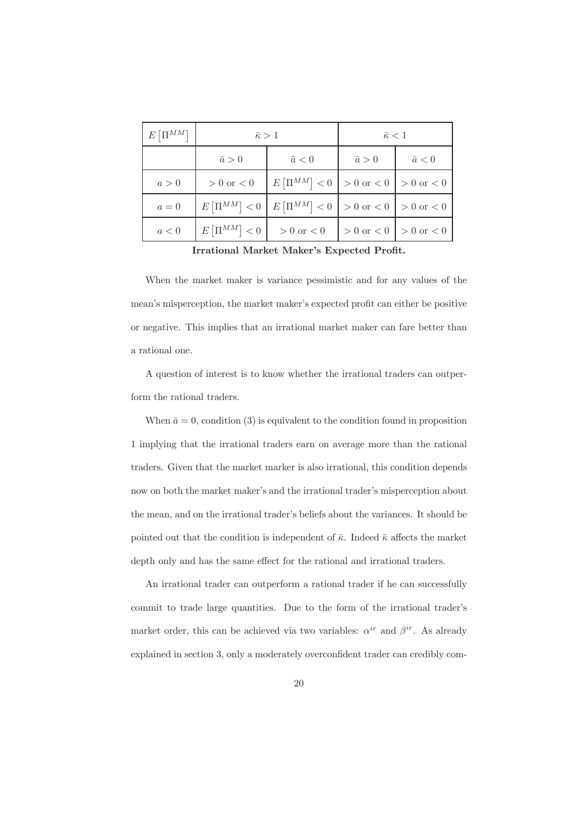| $E\left[\Pi^{MM}\right]$ | $\bar{\kappa} > 1$ |                                             | $\bar{\kappa} < 1$              |               |
|--------------------------|--------------------|---------------------------------------------|---------------------------------|---------------|
|                          | $\bar{a} > 0$      | $\bar{a} < 0$                               | $\bar{a} > 0$                   | $\bar{a} < 0$ |
| a>0                      | $>0$ or $<0$       | $E[\Pi^{MM}] < 0$   > 0 or < 0   > 0 or < 0 |                                 |               |
| $a=0$                    | $E[\Pi^{MM}] < 0$  | $E[\Pi^{MM}] < 0$ > 0 or < 0   > 0 or < 0   |                                 |               |
| a<0                      | $E[\Pi^{MM}] < 0$  | $>0$ or $< 0$                               | $> 0$ or $< 0$   $> 0$ or $< 0$ |               |

Irrational Market Maker's Expected Profit.

When the market maker is variance pessimistic and for any values of the mean's misperception, the market maker's expected profit can either be positive or negative. This implies that an irrational market maker can fare better than a rational one.

A question of interest is to know whether the irrational traders can outperform the rational traders.

When  $\bar{a} = 0$ , condition (3) is equivalent to the condition found in proposition 1 implying that the irrational traders earn on average more than the rational traders. Given that the market marker is also irrational, this condition depends now on both the market maker's and the irrational trader's misperception about the mean, and on the irrational trader's beliefs about the variances. It should be pointed out that the condition is independent of  $\bar{\kappa}$ . Indeed  $\bar{\kappa}$  affects the market depth only and has the same effect for the rational and irrational traders.

An irrational trader can outperform a rational trader if he can successfully commit to trade large quantities. Due to the form of the irrational trader's market order, this can be achieved via two variables:  $\alpha^{ir}$  and  $\beta^{ir}$ . As already explained in section 3, only a moderately overconfident trader can credibly com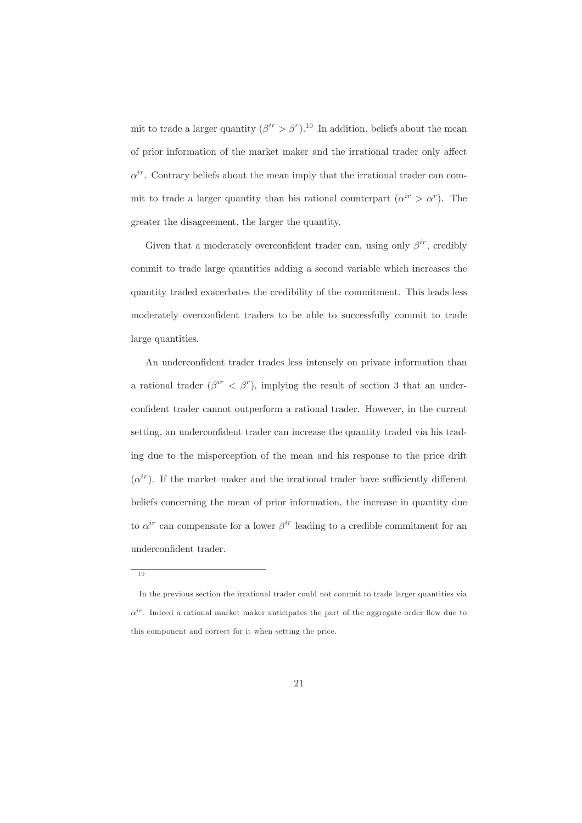mit to trade a larger quantity  $(\beta^{ir} > \beta^r)^{10}$  In addition, beliefs about the mean of prior information of the market maker and the irrational trader only affect  $\alpha^{ir}$ . Contrary beliefs about the mean imply that the irrational trader can commit to trade a larger quantity than his rational counterpart  $(\alpha^{ir} > \alpha^r)$ . The greater the disagreement, the larger the quantity.

Given that a moderately overconfident trader can, using only  $\beta^{ir}$ , credibly commit to trade large quantities adding a second variable which increases the quantity traded exacerbates the credibility of the commitment. This leads less moderately overconfident traders to be able to successfully commit to trade large quantities.

An underconfident trader trades less intensely on private information than a rational trader  $(\beta^{ir} < \beta^r)$ , implying the result of section 3 that an underconfident trader cannot outperform a rational trader. However, in the current setting, an underconfident trader can increase the quantity traded via his trading due to the misperception of the mean and his response to the price drift  $(\alpha^{ir})$ . If the market maker and the irrational trader have sufficiently different beliefs concerning the mean of prior information, the increase in quantity due to  $\alpha^{ir}$  can compensate for a lower  $\beta^{ir}$  leading to a credible commitment for an underconfident trader.

 $10$ 

In the previous section the irrational trader could not commit to trade larger quantities via  $\alpha^{ir}$ . Indeed a rational market maker anticipates the part of the aggregate order flow due to this component and correct for it when setting the price.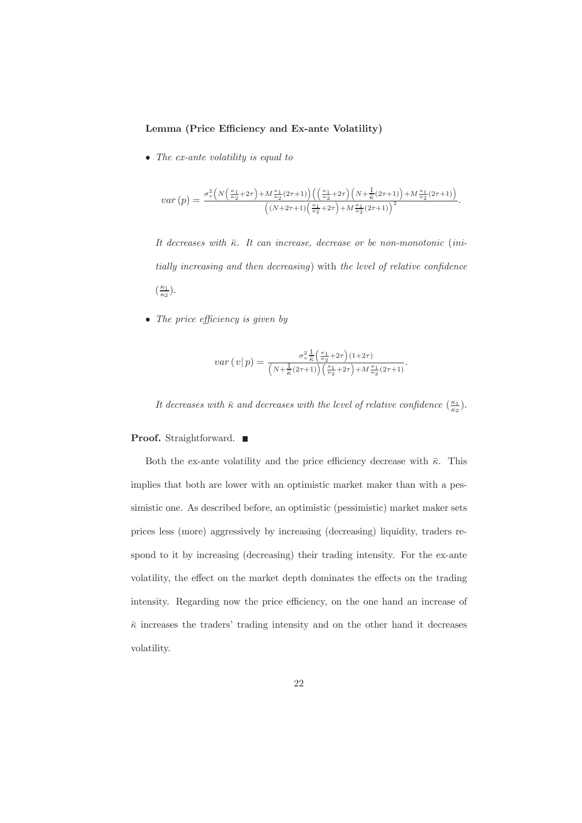#### Lemma (Price Efficiency and Ex-ante Volatility)

• The ex-ante volatility is equal to

$$
var(p) = \frac{\sigma_v^2 \left( N \left( \frac{\kappa_1}{\kappa_2} + 2\tau \right) + M \frac{\kappa_1}{\kappa_2} (2\tau + 1) \right) \left( \left( \frac{\kappa_1}{\kappa_2} + 2\tau \right) \left( N + \frac{1}{\kappa} (2\tau + 1) \right) + M \frac{\kappa_1}{\kappa_2} (2\tau + 1) \right)}{\left( (N + 2\tau + 1) \left( \frac{\kappa_1}{\kappa_2} + 2\tau \right) + M \frac{\kappa_1}{\kappa_2} (2\tau + 1) \right)^2}.
$$

It decreases with  $\bar{\kappa}$ . It can increase, decrease or be non-monotonic (initially increasing and then decreasing) with the level of relative confidence  $\left(\frac{\kappa_1}{\kappa_2}\right)$ .

• The price efficiency is given by

$$
var\left(v|p\right) = \frac{\sigma_v^2 \frac{1}{\bar{\kappa}} \left(\frac{\kappa_1}{\kappa_2} + 2\tau\right) (1+2\tau)}{\left(N + \frac{1}{\bar{\kappa}} (2\tau + 1)\right) \left(\frac{\kappa_1}{\kappa_2} + 2\tau\right) + M \frac{\kappa_1}{\kappa_2} (2\tau + 1)}
$$

It decreases with  $\bar{\kappa}$  and decreases with the level of relative confidence  $(\frac{\kappa_1}{\kappa_2})$ .

#### **Proof.** Straightforward.  $\blacksquare$

Both the ex-ante volatility and the price efficiency decrease with  $\bar{\kappa}$ . This implies that both are lower with an optimistic market maker than with a pessimistic one. As described before, an optimistic (pessimistic) market maker sets prices less (more) aggressively by increasing (decreasing) liquidity, traders respond to it by increasing (decreasing) their trading intensity. For the ex-ante volatility, the effect on the market depth dominates the effects on the trading intensity. Regarding now the price efficiency, on the one hand an increase of  $\bar{\kappa}$  increases the traders' trading intensity and on the other hand it decreases volatility.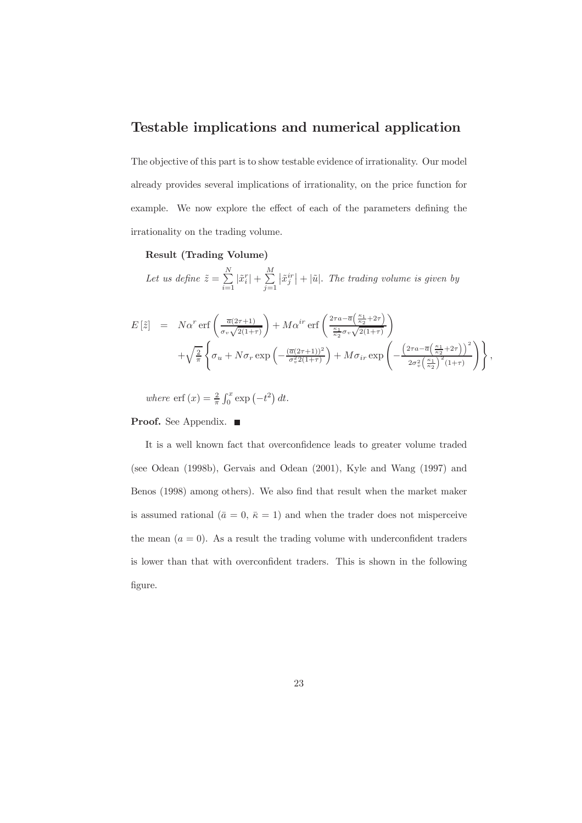## Testable implications and numerical application

The objective of this part is to show testable evidence of irrationality. Our model already provides several implications of irrationality, on the price function for example. We now explore the effect of each of the parameters defining the irrationality on the trading volume.

#### Result (Trading Volume)

Let us define  $\tilde{z} = \sum_{i=1}^{N} |\tilde{x}_i^r| + \sum_{i=1}^{M} |\tilde{x}_j^{ir}| + |\tilde{u}|$ . The trading volume is given by

$$
E\left[\tilde{z}\right] = N\alpha^r \operatorname{erf}\left(\frac{\overline{a}(2\tau+1)}{\sigma_v\sqrt{2(1+\tau)}}\right) + M\alpha^{ir} \operatorname{erf}\left(\frac{2\tau a - \overline{a}\left(\frac{\kappa_1}{\kappa_2} + 2\tau\right)}{\frac{\kappa_1}{\kappa_2}\sigma_v\sqrt{2(1+\tau)}}\right) + \sqrt{\frac{2}{\pi}} \left\{\sigma_u + N\sigma_r \exp\left(-\frac{(\overline{a}(2\tau+1))^2}{\sigma_v^2 2(1+\tau)}\right) + M\sigma_{ir} \exp\left(-\frac{\left(2\tau a - \overline{a}\left(\frac{\kappa_1}{\kappa_2} + 2\tau\right)\right)^2}{2\sigma_v^2\left(\frac{\kappa_1}{\kappa_2}\right)^2(1+\tau)}\right)\right\}.
$$

where  $\operatorname{erf}(x) = \frac{2}{\pi} \int_0^x \exp(-t^2) dt$ .

## **Proof.** See Appendix.  $\blacksquare$

It is a well known fact that overconfidence leads to greater volume traded (see Odean (1998b), Gervais and Odean (2001), Kyle and Wang (1997) and Benos (1998) among others). We also find that result when the market maker is assumed rational ( $\bar{a} = 0$ ,  $\bar{\kappa} = 1$ ) and when the trader does not misperceive the mean  $(a = 0)$ . As a result the trading volume with underconfident traders is lower than that with overconfident traders. This is shown in the following figure.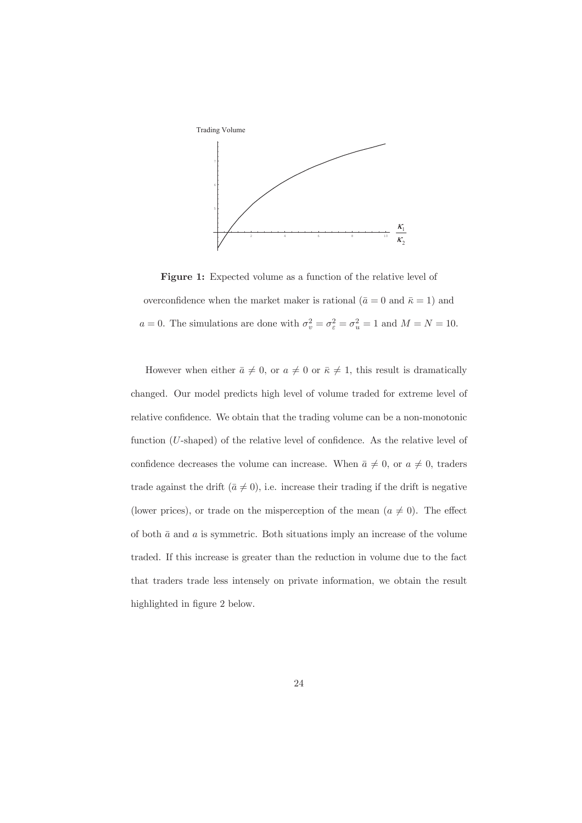

**Figure 1:** Expected volume as a function of the relative level of overconfidence when the market maker is rational ( $\bar{a} = 0$  and  $\bar{\kappa} = 1$ ) and  $a = 0$ . The simulations are done with  $\sigma_v^2 = \sigma_{\varepsilon}^2 = \sigma_u^2 = 1$  and  $M = N = 10$ .

However when either  $\bar{a} \neq 0$ , or  $a \neq 0$  or  $\bar{\kappa} \neq 1$ , this result is dramatically changed. Our model predicts high level of volume traded for extreme level of relative confidence. We obtain that the trading volume can be a non-monotonic function (U-shaped) of the relative level of confidence. As the relative level of confidence decreases the volume can increase. When  $\bar{a} \neq 0$ , or  $a \neq 0$ , traders trade against the drift  $(\bar{a} \neq 0)$ , i.e. increase their trading if the drift is negative (lower prices), or trade on the misperception of the mean  $(a \neq 0)$ . The effect of both  $\bar{a}$  and  $a$  is symmetric. Both situations imply an increase of the volume traded. If this increase is greater than the reduction in volume due to the fact that traders trade less intensely on private information, we obtain the result highlighted in figure 2 below.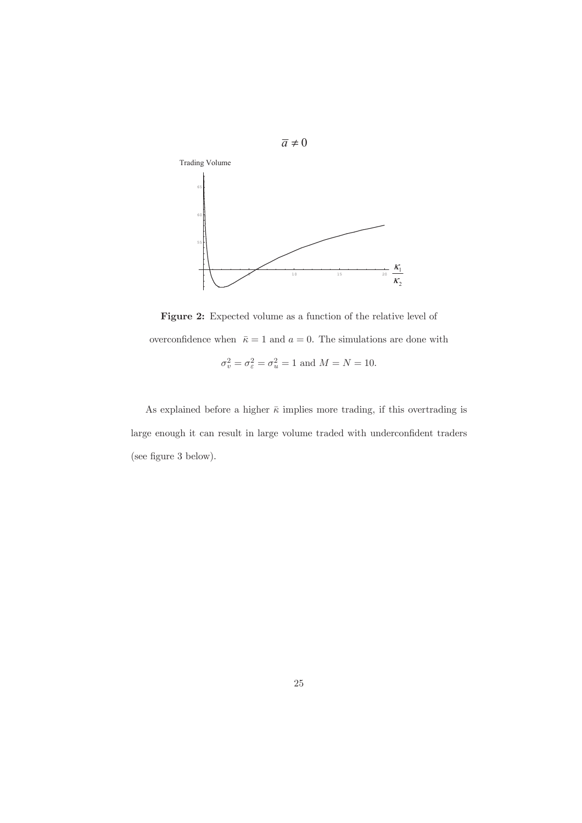

Figure 2: Expected volume as a function of the relative level of overconfidence when  $\bar{\kappa} = 1$  and  $a = 0$ . The simulations are done with  $\sigma_v^2 = \sigma_{\varepsilon}^2 = \sigma_u^2 = 1$  and  $M = N = 10$ .

As explained before a higher  $\bar{\kappa}$  implies more trading, if this overtrading is large enough it can result in large volume traded with underconfident traders (see figure 3 below).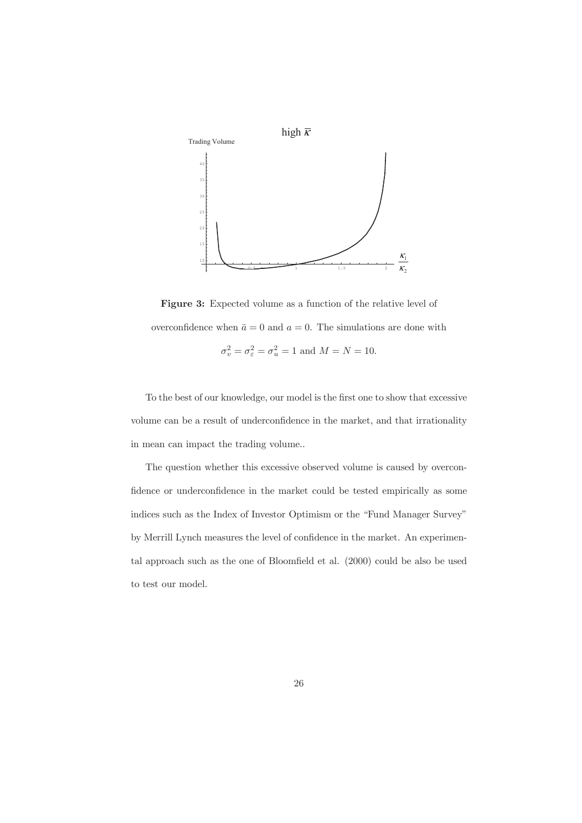

Figure 3: Expected volume as a function of the relative level of overconfidence when  $\bar{a} = 0$  and  $a = 0$ . The simulations are done with  $\sigma_v^2 = \sigma_\varepsilon^2 = \sigma_u^2 = 1$  and  $M = N = 10$ .

To the best of our knowledge, our model is the first one to show that excessive volume can be a result of underconfidence in the market, and that irrationality in mean can impact the trading volume...

The question whether this excessive observed volume is caused by overconfidence or underconfidence in the market could be tested empirically as some indices such as the Index of Investor Optimism or the "Fund Manager Survey" by Merrill Lynch measures the level of confidence in the market. An experimental approach such as the one of Bloomfield et al. (2000) could be also be used to test our model.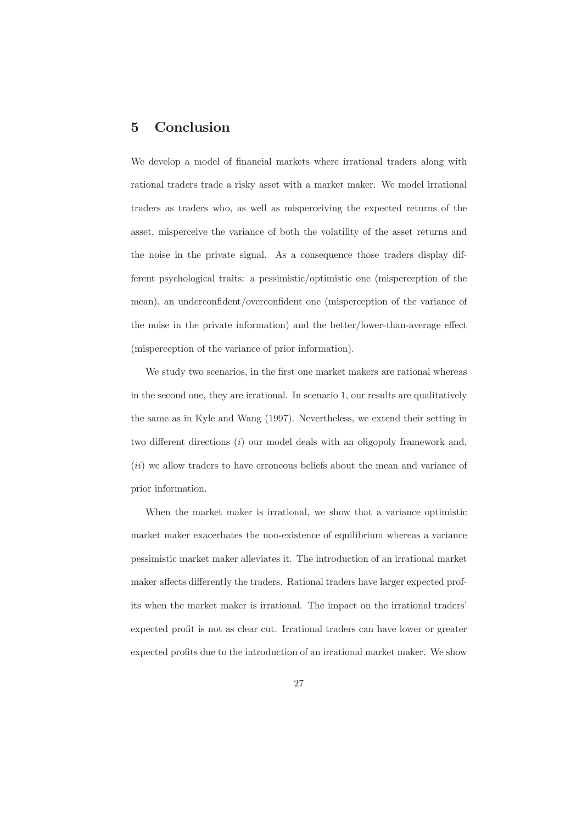#### Conclusion  $\overline{5}$

We develop a model of financial markets where irrational traders along with rational traders trade a risky asset with a market maker. We model irrational traders as traders who, as well as misperceiving the expected returns of the asset, misperceive the variance of both the volatility of the asset returns and the noise in the private signal. As a consequence those traders display different psychological traits: a pessimistic/optimistic one (misperception of the mean), an underconfident/overconfident one (misperception of the variance of the noise in the private information) and the better/lower-than-average effect (misperception of the variance of prior information).

We study two scenarios, in the first one market makers are rational whereas in the second one, they are irrational. In scenario 1, our results are qualitatively the same as in Kyle and Wang (1997). Nevertheless, we extend their setting in two different directions  $(i)$  our model deals with an oligopoly framework and, *(ii)* we allow traders to have erroneous beliefs about the mean and variance of prior information.

When the market maker is irrational, we show that a variance optimistic market maker exacerbates the non-existence of equilibrium whereas a variance pessimistic market maker alleviates it. The introduction of an irrational market maker affects differently the traders. Rational traders have larger expected profits when the market maker is irrational. The impact on the irrational traders' expected profit is not as clear cut. Irrational traders can have lower or greater expected profits due to the introduction of an irrational market maker. We show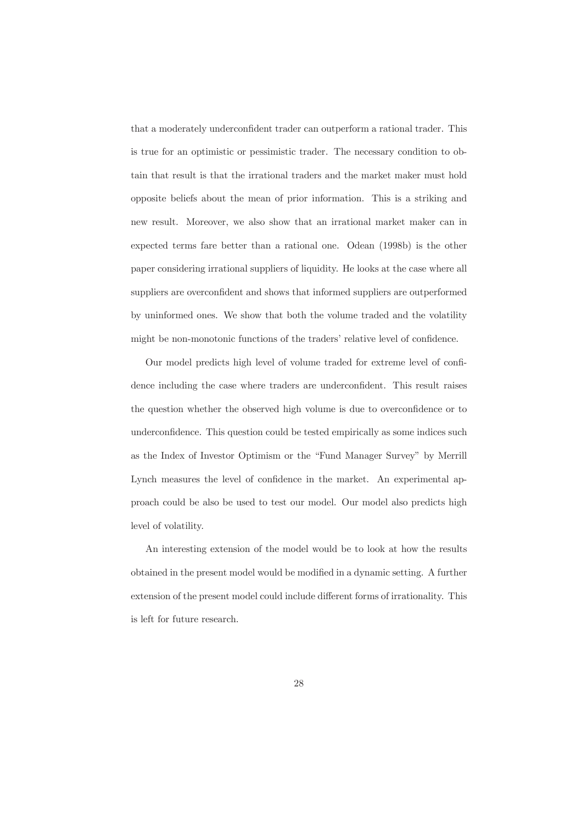that a moderately underconfident trader can outperform a rational trader. This is true for an optimistic or pessimistic trader. The necessary condition to obtain that result is that the irrational traders and the market maker must hold opposite beliefs about the mean of prior information. This is a striking and new result. Moreover, we also show that an irrational market maker can in expected terms fare better than a rational one. Odean (1998b) is the other paper considering irrational suppliers of liquidity. He looks at the case where all suppliers are overconfident and shows that informed suppliers are outperformed by uninformed ones. We show that both the volume traded and the volatility might be non-monotonic functions of the traders' relative level of confidence.

Our model predicts high level of volume traded for extreme level of confidence including the case where traders are underconfident. This result raises the question whether the observed high volume is due to overconfidence or to underconfidence. This question could be tested empirically as some indices such as the Index of Investor Optimism or the "Fund Manager Survey" by Merrill Lynch measures the level of confidence in the market. An experimental approach could be also be used to test our model. Our model also predicts high level of volatility.

An interesting extension of the model would be to look at how the results obtained in the present model would be modified in a dynamic setting. A further extension of the present model could include different forms of irrationality. This is left for future research.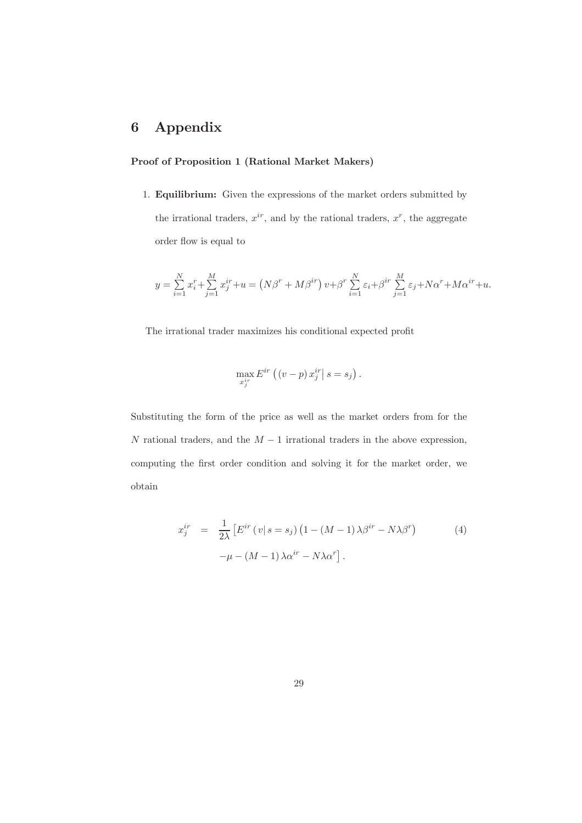#### Appendix  $\bf{6}$

## Proof of Proposition 1 (Rational Market Makers)

1. Equilibrium: Given the expressions of the market orders submitted by the irrational traders,  $x^{ir}$ , and by the rational traders,  $x^r$ , the aggregate order flow is equal to

$$
y = \sum_{i=1}^{N} x_i^r + \sum_{j=1}^{M} x_j^{ir} + u = (N\beta^{r} + M\beta^{ir}) v + \beta^{r} \sum_{i=1}^{N} \varepsilon_i + \beta^{ir} \sum_{j=1}^{M} \varepsilon_j + N\alpha^{r} + M\alpha^{ir} + u
$$

The irrational trader maximizes his conditional expected profit

$$
\max_{x_j^{ir}} E^{ir} ((v-p) x_j^{ir} | s = s_j)
$$

Substituting the form of the price as well as the market orders from for the N rational traders, and the  $M-1$  irrational traders in the above expression, computing the first order condition and solving it for the market order, we  $obtain$ 

$$
x_j^{ir} = \frac{1}{2\lambda} \left[ E^{ir} \left( v \mid s = s_j \right) \left( 1 - \left( M - 1 \right) \lambda \beta^{ir} - N \lambda \beta^r \right) - \mu - \left( M - 1 \right) \lambda \alpha^{ir} - N \lambda \alpha^r \right]. \tag{4}
$$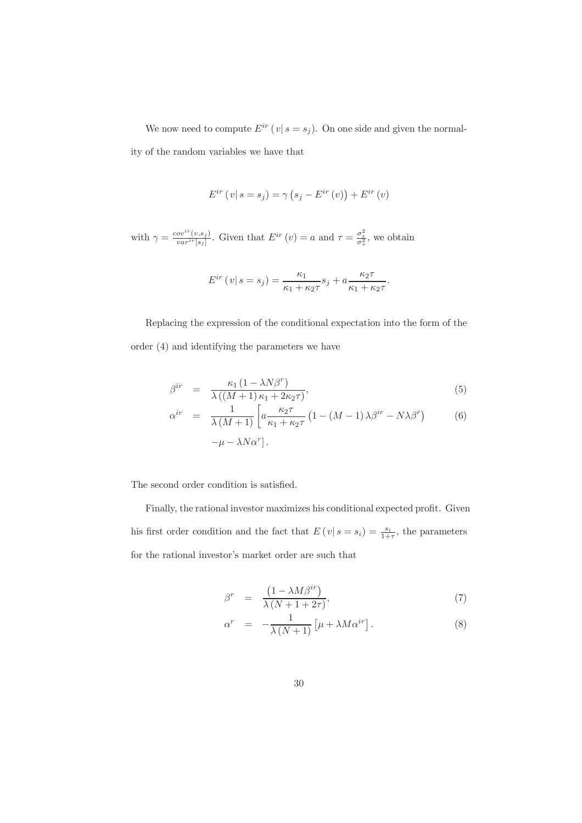We now need to compute  $E^{ir}(v | s = s_j)$ . On one side and given the normality of the random variables we have that

$$
E^{ir}(v | s = s_j) = \gamma (s_j - E^{ir}(v)) + E^{ir}(v)
$$

with  $\gamma = \frac{cov^{ir}(v,s_j)}{var^{ir}[s_j]}$ . Given that  $E^{ir}(v) = a$  and  $\tau = \frac{\sigma_{\varepsilon}^2}{\sigma_v^2}$ , we obtain

$$
E^{ir}(v | s = s_j) = \frac{\kappa_1}{\kappa_1 + \kappa_2 \tau} s_j + a \frac{\kappa_2 \tau}{\kappa_1 + \kappa_2 \tau}.
$$

Replacing the expression of the conditional expectation into the form of the order  $(4)$  and identifying the parameters we have

$$
\beta^{ir} = \frac{\kappa_1 (1 - \lambda N \beta^r)}{\lambda ((M+1)\kappa_1 + 2\kappa_2 \tau)},
$$
\n(5)

$$
\alpha^{ir} = \frac{1}{\lambda (M+1)} \left[ a \frac{\kappa_2 \tau}{\kappa_1 + \kappa_2 \tau} \left( 1 - (M-1) \lambda \beta^{ir} - N \lambda \beta^r \right) \right]
$$
  
- \mu - \lambda N \alpha^r]. \n
$$
(6)
$$

The second order condition is satisfied.

Finally, the rational investor maximizes his conditional expected profit. Given his first order condition and the fact that  $E(v|s = s_i) = \frac{s_i}{1+\tau}$ , the parameters for the rational investor's market order are such that  $% \mathcal{N}$ 

$$
\beta^r = \frac{\left(1 - \lambda M \beta^{ir}\right)}{\lambda \left(N + 1 + 2\tau\right)},\tag{7}
$$

$$
\alpha^r = -\frac{1}{\lambda (N+1)} \left[ \mu + \lambda M \alpha^{ir} \right]. \tag{8}
$$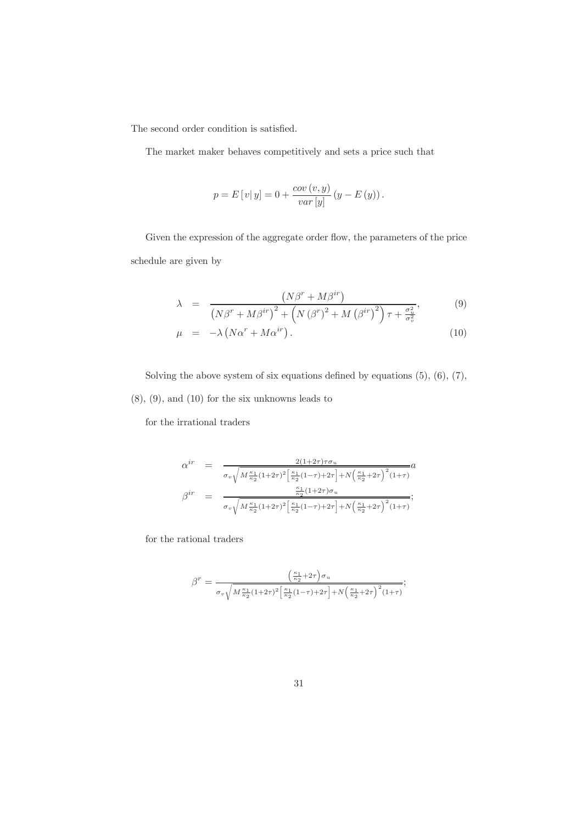The second order condition is satisfied.

The market maker behaves competitively and sets a price such that

$$
p = E[v|y] = 0 + \frac{cov(v, y)}{var[y]} (y - E(y)).
$$

Given the expression of the aggregate order flow, the parameters of the price schedule are given by

$$
\lambda = \frac{\left(N\beta^r + M\beta^{ir}\right)}{\left(N\beta^r + M\beta^{ir}\right)^2 + \left(N\left(\beta^r\right)^2 + M\left(\beta^{ir}\right)^2\right)\tau + \frac{\sigma_v^2}{\sigma_v^2}},\tag{9}
$$

$$
\mu = -\lambda \left( N\alpha^r + M\alpha^{ir} \right). \tag{10}
$$

Solving the above system of six equations defined by equations  $(5)$ ,  $(6)$ ,  $(7)$ ,  $(8), (9),$  and  $(10)$  for the six unknowns leads to

for the irrational traders

$$
\alpha^{ir} = \frac{2(1+2\tau)\tau\sigma_{u}}{\sigma_{v}\sqrt{M\frac{\kappa_{1}}{\kappa_{2}}(1+2\tau)^{2}\left[\frac{\kappa_{1}}{\kappa_{2}}(1-\tau)+2\tau\right]+N\left(\frac{\kappa_{1}}{\kappa_{2}}+2\tau\right)^{2}(1+\tau)}}\alpha
$$
\n
$$
\beta^{ir} = \frac{\frac{\kappa_{1}}{\kappa_{2}}(1+2\tau)\sigma_{u}}{\sigma_{v}\sqrt{M\frac{\kappa_{1}}{\kappa_{2}}(1+2\tau)^{2}\left[\frac{\kappa_{1}}{\kappa_{2}}(1-\tau)+2\tau\right]+N\left(\frac{\kappa_{1}}{\kappa_{2}}+2\tau\right)^{2}(1+\tau)}};
$$

for the rational traders

$$
\beta^r = \frac{\left(\frac{\kappa_1}{\kappa_2} + 2\tau\right)\sigma_u}{\sigma_v\sqrt{M\frac{\kappa_1}{\kappa_2}(1+2\tau)^2\left[\frac{\kappa_1}{\kappa_2}(1-\tau)+2\tau\right]+N\left(\frac{\kappa_1}{\kappa_2}+2\tau\right)^2(1+\tau)}};
$$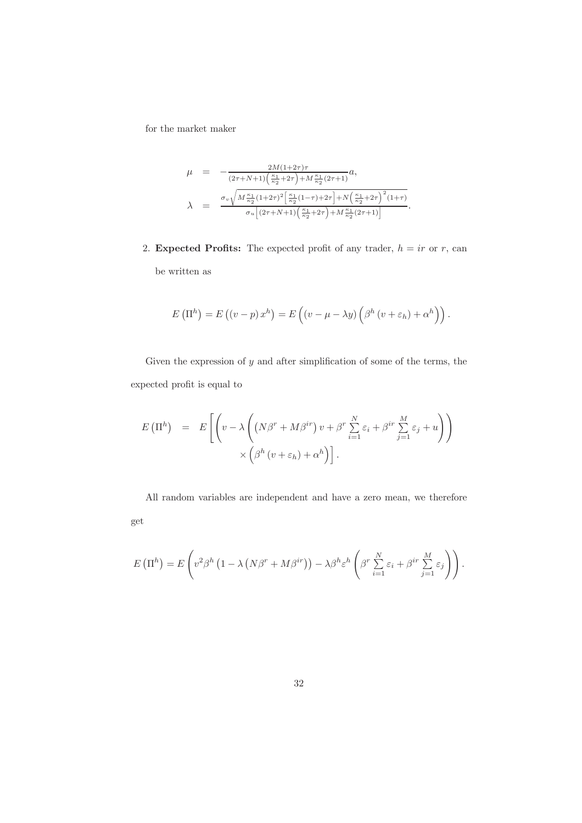for the market maker  $\,$ 

$$
\mu = -\frac{2M(1+2\tau)\tau}{(2\tau+N+1)\left(\frac{\kappa_1}{\kappa_2}+2\tau\right)+M\frac{\kappa_1}{\kappa_2}(2\tau+1)}a,
$$
\n
$$
\lambda = \frac{\sigma_v\sqrt{M\frac{\kappa_1}{\kappa_2}(1+2\tau)^2\left[\frac{\kappa_1}{\kappa_2}(1-\tau)+2\tau\right]+N\left(\frac{\kappa_1}{\kappa_2}+2\tau\right)^2(1+\tau)}}{\sigma_u\left[(2\tau+N+1)\left(\frac{\kappa_1}{\kappa_2}+2\tau\right)+M\frac{\kappa_1}{\kappa_2}(2\tau+1)\right]}.
$$

2. Expected Profits: The expected profit of any trader,  $h = ir$  or r, can be written as

$$
E\left(\Pi^h\right) = E\left(\left(v-p\right)x^h\right) = E\left(\left(v-\mu-\lambda y\right)\left(\beta^h\left(v+\varepsilon_h\right)+\alpha^h\right)\right).
$$

Given the expression of  $y$  and after simplification of some of the terms, the expected profit is equal to

$$
E(\Pi^{h}) = E\left[ \left( v - \lambda \left( (N\beta^{r} + M\beta^{ir}) v + \beta^{r} \sum_{i=1}^{N} \varepsilon_{i} + \beta^{ir} \sum_{j=1}^{M} \varepsilon_{j} + u \right) \right) \times \left( \beta^{h} (v + \varepsilon_{h}) + \alpha^{h} \right) \right].
$$

All random variables are independent and have a zero mean, we therefore get

$$
E(\Pi^h) = E\left(v^2\beta^h\left(1 - \lambda\left(N\beta^r + M\beta^{ir}\right)\right) - \lambda\beta^h \varepsilon^h \left(\beta^r \sum_{i=1}^N \varepsilon_i + \beta^{ir} \sum_{j=1}^M \varepsilon_j\right)\right).
$$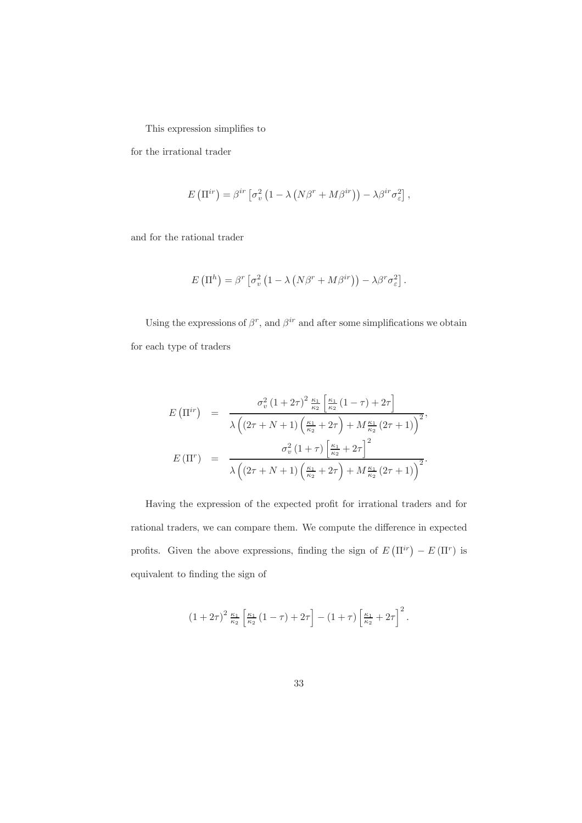This expression simplifies to

 $% \left\vert \cdot \right\vert$  for the irrational trader

$$
E\left(\Pi^{ir}\right) = \beta^{ir}\left[\sigma_v^2\left(1 - \lambda\left(N\beta^r + M\beta^{ir}\right)\right) - \lambda\beta^{ir}\sigma_{\varepsilon}^2\right],
$$

and for the rational trader

$$
E\left(\Pi^h\right) = \beta^r \left[\sigma_v^2 \left(1 - \lambda \left(N\beta^r + M\beta^{ir}\right)\right) - \lambda \beta^r \sigma_\varepsilon^2\right]
$$

Using the expressions of  $\beta^r,$  and  $\beta^{ir}$  and after some simplifications we obtain for each type of traders

$$
E(\Pi^{ir}) = \frac{\sigma_v^2 (1+2\tau)^2 \frac{\kappa_1}{\kappa_2} \left[ \frac{\kappa_1}{\kappa_2} (1-\tau) + 2\tau \right]}{\lambda \left( (2\tau + N + 1) \left( \frac{\kappa_1}{\kappa_2} + 2\tau \right) + M \frac{\kappa_1}{\kappa_2} (2\tau + 1) \right)^2},
$$
  

$$
E(\Pi^r) = \frac{\sigma_v^2 (1+\tau) \left[ \frac{\kappa_1}{\kappa_2} + 2\tau \right]^2}{\lambda \left( (2\tau + N + 1) \left( \frac{\kappa_1}{\kappa_2} + 2\tau \right) + M \frac{\kappa_1}{\kappa_2} (2\tau + 1) \right)^2}.
$$

Having the expression of the expected profit for irrational traders and for rational traders, we can compare them. We compute the difference in expected profits. Given the above expressions, finding the sign of  $E(\Pi^{ir}) - E(\Pi^r)$  is equivalent to finding the sign of

$$
(1+2\tau)^2 \frac{\kappa_1}{\kappa_2} \left[ \frac{\kappa_1}{\kappa_2} (1-\tau) + 2\tau \right] - (1+\tau) \left[ \frac{\kappa_1}{\kappa_2} + 2\tau \right]^2.
$$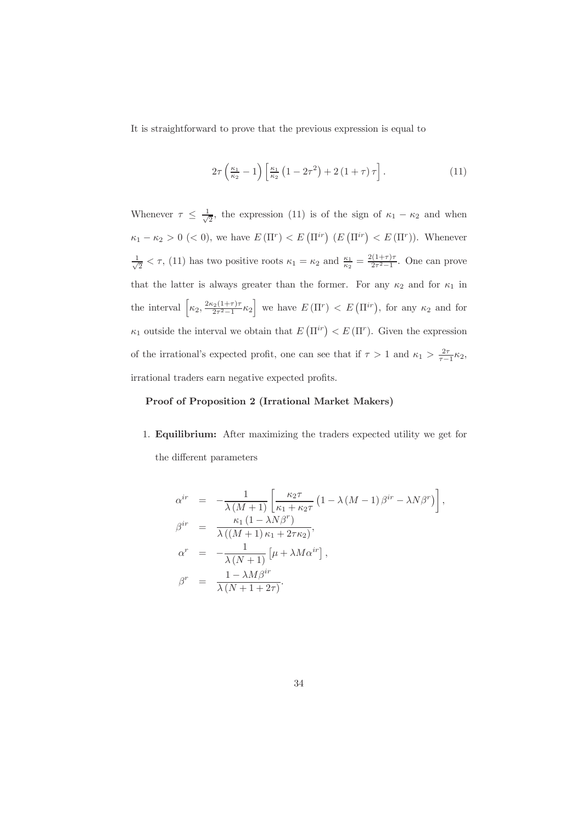It is straightforward to prove that the previous expression is equal to

$$
2\tau \left(\frac{\kappa_1}{\kappa_2} - 1\right) \left[\frac{\kappa_1}{\kappa_2} \left(1 - 2\tau^2\right) + 2\left(1 + \tau\right)\tau\right].\tag{11}
$$

Whenever  $\tau \leq \frac{1}{\sqrt{2}}$ , the expression (11) is of the sign of  $\kappa_1 - \kappa_2$  and when  $\kappa_1 - \kappa_2 > 0$  (< 0), we have  $E(\Pi^r) < E(\Pi^{ir})$  ( $E(\Pi^{ir}) < E(\Pi^r)$ ). Whenever  $\frac{1}{\sqrt{2}} < \tau$ , (11) has two positive roots  $\kappa_1 = \kappa_2$  and  $\frac{\kappa_1}{\kappa_2} = \frac{2(1+\tau)\tau}{2\tau^2-1}$ . One can prove that the latter is always greater than the former. For any  $\kappa_2$  and for  $\kappa_1$  in the interval  $\left[\kappa_2, \frac{2\kappa_2(1+\tau)\tau}{2\tau^2-1}\kappa_2\right]$  we have  $E(\Pi^r) < E(\Pi^{ir})$ , for any  $\kappa_2$  and for  $\kappa_1$  outside the interval we obtain that  $E(\Pi^{ir}) < E(\Pi^r)$ . Given the expression of the irrational's expected profit, one can see that if  $\tau > 1$  and  $\kappa_1 > \frac{2\tau}{\tau - 1} \kappa_2$ , irrational traders earn negative expected profits.

## Proof of Proposition 2 (Irrational Market Makers)

1. Equilibrium: After maximizing the traders expected utility we get for the different parameters

$$
\alpha^{ir} = -\frac{1}{\lambda (M+1)} \left[ \frac{\kappa_2 \tau}{\kappa_1 + \kappa_2 \tau} \left( 1 - \lambda (M-1) \beta^{ir} - \lambda N \beta^r \right) \right],
$$
  
\n
$$
\beta^{ir} = \frac{\kappa_1 (1 - \lambda N \beta^r)}{\lambda ((M+1) \kappa_1 + 2\tau \kappa_2)},
$$
  
\n
$$
\alpha^r = -\frac{1}{\lambda (N+1)} \left[ \mu + \lambda M \alpha^{ir} \right],
$$
  
\n
$$
\beta^r = \frac{1 - \lambda M \beta^{ir}}{\lambda (N+1 + 2\tau)}.
$$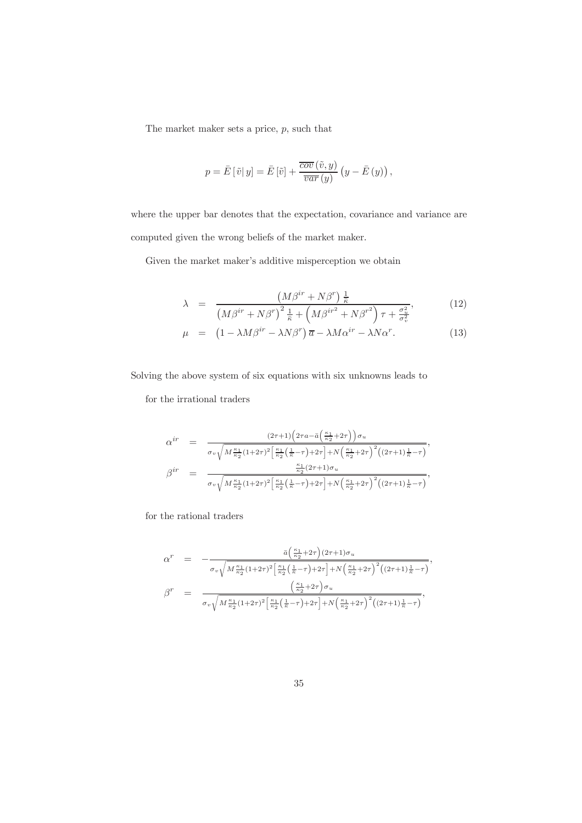The market maker sets a price,  $p$ , such that

$$
p = \bar{E} [\tilde{v} | y] = \bar{E} [\tilde{v}] + \frac{\overline{cov} (\tilde{v}, y)}{\overline{var} (y)} (y - \bar{E} (y)),
$$

where the upper bar denotes that the expectation, covariance and variance are computed given the wrong beliefs of the market maker.

Given the market maker's additive misperception we obtain

$$
\lambda = \frac{\left(M\beta^{ir} + N\beta^r\right)\frac{1}{\kappa}}{\left(M\beta^{ir} + N\beta^r\right)^2\frac{1}{\kappa} + \left(M\beta^{ir^2} + N\beta^{r^2}\right)\tau + \frac{\sigma_u^2}{\sigma_v^2}},\tag{12}
$$

$$
\mu = \left(1 - \lambda M \beta^{ir} - \lambda N \beta^r\right) \overline{a} - \lambda M \alpha^{ir} - \lambda N \alpha^r. \tag{13}
$$

Solving the above system of six equations with six unknowns leads to

for the irrational traders

$$
\alpha^{ir} = \frac{(2\tau+1)\left(2\tau a - \bar{a}\left(\frac{\kappa_1}{\kappa_2} + 2\tau\right)\right)\sigma_u}{\sigma_v\sqrt{M\frac{\kappa_1}{\kappa_2}(1+2\tau)^2\left[\frac{\kappa_1}{\kappa_2}\left(\frac{1}{\kappa}-\tau\right)+2\tau\right]+N\left(\frac{\kappa_1}{\kappa_2}+2\tau\right)^2\left((2\tau+1)\frac{1}{\kappa}-\tau\right)}},
$$
\n
$$
\beta^{ir} = \frac{\frac{\kappa_1}{\kappa_2}(2\tau+1)\sigma_u}{\sigma_v\sqrt{M\frac{\kappa_1}{\kappa_2}(1+2\tau)^2\left[\frac{\kappa_1}{\kappa_2}\left(\frac{1}{\kappa}-\tau\right)+2\tau\right]+N\left(\frac{\kappa_1}{\kappa_2}+2\tau\right)^2\left((2\tau+1)\frac{1}{\kappa}-\tau\right)}},
$$

for the rational traders

$$
\alpha^{r} = -\frac{\bar{a} \left(\frac{\kappa_{1}}{\kappa_{2}} + 2\tau\right) (2\tau + 1) \sigma_{u}}{\sigma_{v} \sqrt{M \frac{\kappa_{1}}{\kappa_{2}} (1 + 2\tau)^{2} \left[\frac{\kappa_{1}}{\kappa_{2}} \left(\frac{1}{\kappa} - \tau\right) + 2\tau\right] + N \left(\frac{\kappa_{1}}{\kappa_{2}} + 2\tau\right)^{2} \left((2\tau + 1)\frac{1}{\kappa} - \tau\right)}},
$$
\n
$$
\beta^{r} = \frac{\left(\frac{\kappa_{1}}{\kappa_{2}} + 2\tau\right) \sigma_{u}}{\sigma_{v} \sqrt{M \frac{\kappa_{1}}{\kappa_{2}} (1 + 2\tau)^{2} \left[\frac{\kappa_{1}}{\kappa_{2}} \left(\frac{1}{\kappa} - \tau\right) + 2\tau\right] + N \left(\frac{\kappa_{1}}{\kappa_{2}} + 2\tau\right)^{2} \left((2\tau + 1)\frac{1}{\kappa} - \tau\right)}},
$$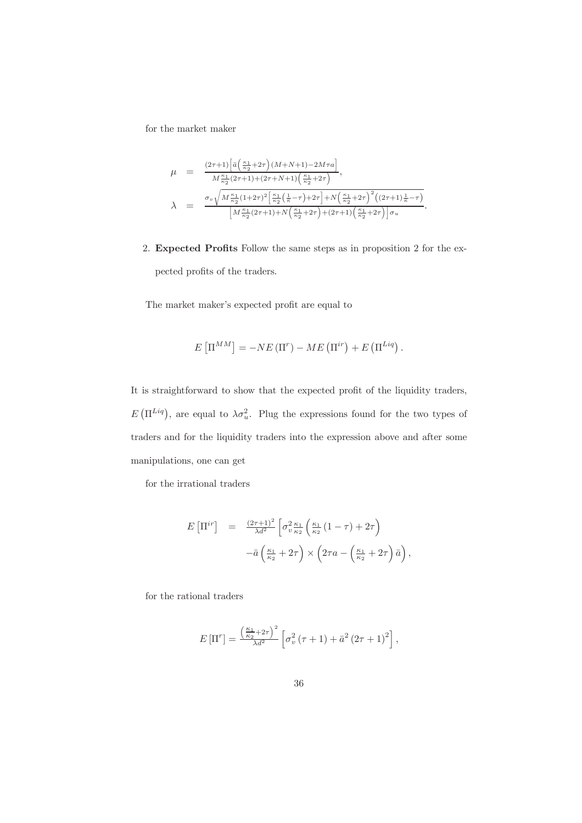for the market maker

$$
\mu = \frac{(2\tau+1)\left[\bar{a}\left(\frac{\kappa_{1}}{\kappa_{2}}+2\tau\right)(M+N+1)-2M\tau a\right]}{M\frac{\kappa_{1}}{\kappa_{2}}(2\tau+1)+(2\tau+N+1)\left(\frac{\kappa_{1}}{\kappa_{2}}+2\tau\right)},
$$
\n
$$
\lambda = \frac{\sigma_{v}\sqrt{M\frac{\kappa_{1}}{\kappa_{2}}(1+2\tau)^{2}\left[\frac{\kappa_{1}}{\kappa_{2}}\left(\frac{1}{\kappa}-\tau\right)+2\tau\right]+N\left(\frac{\kappa_{1}}{\kappa_{2}}+2\tau\right)^{2}\left((2\tau+1)\frac{1}{\kappa}-\tau\right)}}{\left[M\frac{\kappa_{1}}{\kappa_{2}}(2\tau+1)+N\left(\frac{\kappa_{1}}{\kappa_{2}}+2\tau\right)+(2\tau+1)\left(\frac{\kappa_{1}}{\kappa_{2}}+2\tau\right)\right]\sigma_{u}}.
$$

2. Expected Profits Follow the same steps as in proposition 2 for the expected profits of the traders.

The market maker's expected profit are equal to

$$
E\left[\Pi^{MM}\right] = -NE\left(\Pi^r\right) - ME\left(\Pi^{ir}\right) + E\left(\Pi^{Liq}\right).
$$

It is straightforward to show that the expected profit of the liquidity traders,  $E(\Pi^{Liq})$ , are equal to  $\lambda \sigma_u^2$ . Plug the expressions found for the two types of traders and for the liquidity traders into the expression above and after some manipulations, one can get

for the irrational traders

$$
E\left[\Pi^{ir}\right] = \frac{(2\tau+1)^2}{\lambda d^2} \left[\sigma_v^2 \frac{\kappa_1}{\kappa_2} \left(\frac{\kappa_1}{\kappa_2} \left(1-\tau\right)+2\tau\right) \right.
$$

$$
-\bar{a}\left(\frac{\kappa_1}{\kappa_2}+2\tau\right) \times \left(2\tau a - \left(\frac{\kappa_1}{\kappa_2}+2\tau\right)\bar{a}\right),
$$

 $% \left\vert \cdot \right\vert$  for the rational traders

$$
E\left[\Pi^r\right] = \frac{\left(\frac{\kappa_1}{\kappa_2} + 2\tau\right)^2}{\lambda d^2} \left[\sigma_v^2 \left(\tau + 1\right) + \bar{a}^2 \left(2\tau + 1\right)^2\right],
$$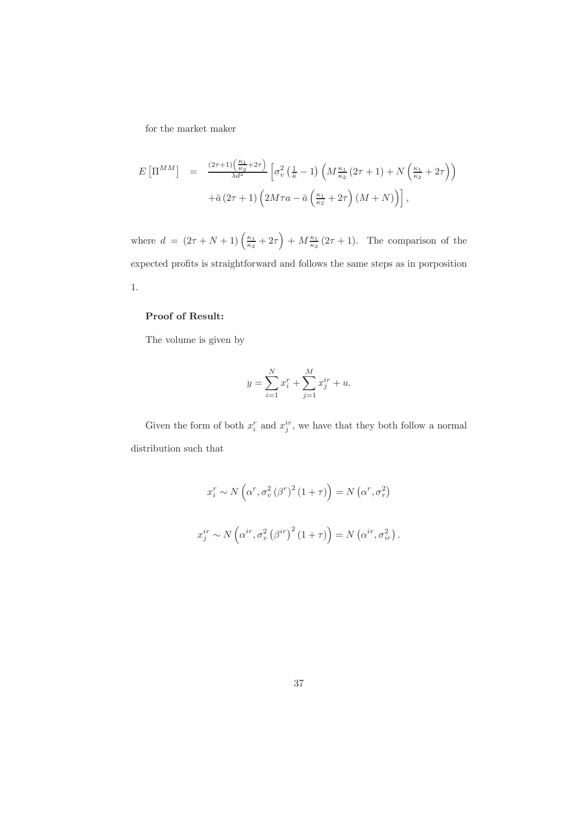for the market maker

$$
E\left[\Pi^{MM}\right] = \frac{(2\tau+1)\left(\frac{\kappa_1}{\kappa_2}+2\tau\right)}{\lambda d^2} \left[\sigma_v^2\left(\frac{1}{\bar{\kappa}}-1\right)\left(M\frac{\kappa_1}{\kappa_2}\left(2\tau+1\right)+N\left(\frac{\kappa_1}{\kappa_2}+2\tau\right)\right) + \bar{a}\left(2\tau+1\right)\left(2M\tau a - \bar{a}\left(\frac{\kappa_1}{\kappa_2}+2\tau\right)\left(M+N\right)\right)\right],
$$

where  $d = (2\tau + N + 1) \left(\frac{\kappa_1}{\kappa_2} + 2\tau\right) + M \frac{\kappa_1}{\kappa_2} (2\tau + 1)$ . The comparison of the expected profits is straightforward and follows the same steps as in porposition  $1.$ 

## Proof of Result:

The volume is given by

$$
y = \sum_{i=1}^{N} x_i^r + \sum_{j=1}^{M} x_j^{ir} + u.
$$

Given the form of both  $x_i^r$  and  $x_j^{ir}$  , we have that they both follow a normal distribution such that

$$
x_i^r \sim N\left(\alpha^r, \sigma_v^2 \left(\beta^r\right)^2 (1+\tau)\right) = N\left(\alpha^r, \sigma_r^2\right)
$$
  

$$
x_j^{ir} \sim N\left(\alpha^{ir}, \sigma_v^2 \left(\beta^{ir}\right)^2 (1+\tau)\right) = N\left(\alpha^{ir}, \sigma_{ir}^2\right).
$$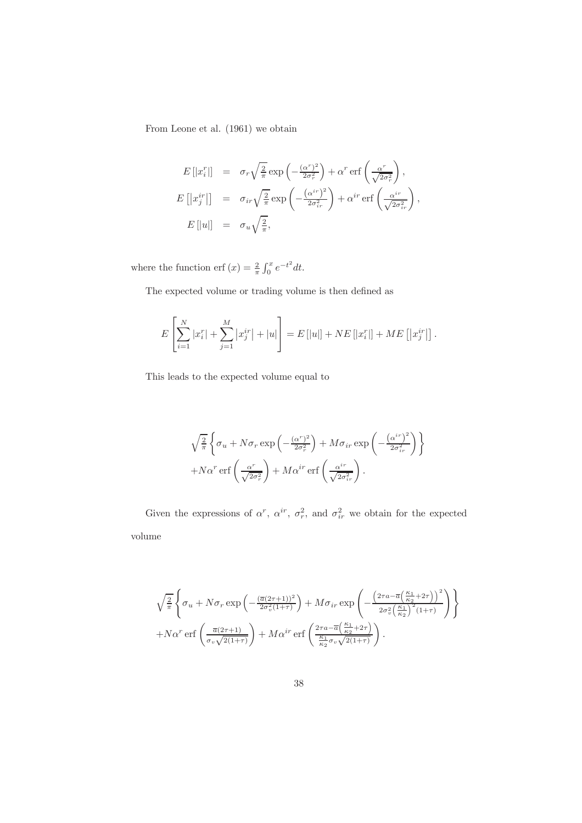From Leone et al. (1961) we obtain

$$
E[|x_i^r|] = \sigma_r \sqrt{\frac{2}{\pi}} \exp\left(-\frac{(\alpha^r)^2}{2\sigma_r^2}\right) + \alpha^r \operatorname{erf}\left(\frac{\alpha^r}{\sqrt{2\sigma_r^2}}\right),
$$
  
\n
$$
E[|x_j^r|] = \sigma_{ir} \sqrt{\frac{2}{\pi}} \exp\left(-\frac{(\alpha^{ir})^2}{2\sigma_{ir}^2}\right) + \alpha^{ir} \operatorname{erf}\left(\frac{\alpha^{ir}}{\sqrt{2\sigma_{ir}^2}}\right),
$$
  
\n
$$
E[|u|] = \sigma_u \sqrt{\frac{2}{\pi}},
$$

where the function erf  $(x) = \frac{2}{\pi} \int_0^x e^{-t^2} dt$ .

The expected volume or trading volume is then defined as

$$
E\left[\sum_{i=1}^{N} |x_i^r| + \sum_{j=1}^{M} |x_j^{ir}| + |u|\right] = E\left[|u|\right] + NE\left[|x_i^r|\right] + ME\left[|x_j^{ir}|\right].
$$

This leads to the expected volume equal to

$$
\sqrt{\frac{2}{\pi}} \left\{ \sigma_u + N \sigma_r \exp\left(-\frac{(\alpha^r)^2}{2\sigma_r^2}\right) + M \sigma_{ir} \exp\left(-\frac{(\alpha^{ir})^2}{2\sigma_{ir}^2}\right) \right\} + N\alpha^r \operatorname{erf}\left(\frac{\alpha^r}{\sqrt{2\sigma_r^2}}\right) + M\alpha^{ir} \operatorname{erf}\left(\frac{\alpha^{ir}}{\sqrt{2\sigma_{ir}^2}}\right).
$$

Given the expressions of  $\alpha^r$ ,  $\alpha^{ir}$ ,  $\sigma_r^2$ , and  $\sigma_{ir}^2$  we obtain for the expected volume

$$
\sqrt{\frac{2}{\pi}} \left\{ \sigma_u + N \sigma_r \exp\left(-\frac{(\overline{a}(2\tau+1))^2}{2\sigma_v^2(1+\tau)}\right) + M \sigma_{ir} \exp\left(-\frac{\left(2\tau a - \overline{a}\left(\frac{\kappa_1}{\kappa_2} + 2\tau\right)\right)^2}{2\sigma_v^2\left(\frac{\kappa_1}{\kappa_2}\right)^2(1+\tau)}\right) \right\}
$$

$$
+ N \alpha^r \operatorname{erf}\left(\frac{\overline{a}(2\tau+1)}{\sigma_v \sqrt{2(1+\tau)}}\right) + M \alpha^{ir} \operatorname{erf}\left(\frac{2\tau a - \overline{a}\left(\frac{\kappa_1}{\kappa_2} + 2\tau\right)}{\frac{\kappa_1}{\kappa_2} \sigma_v \sqrt{2(1+\tau)}}\right).
$$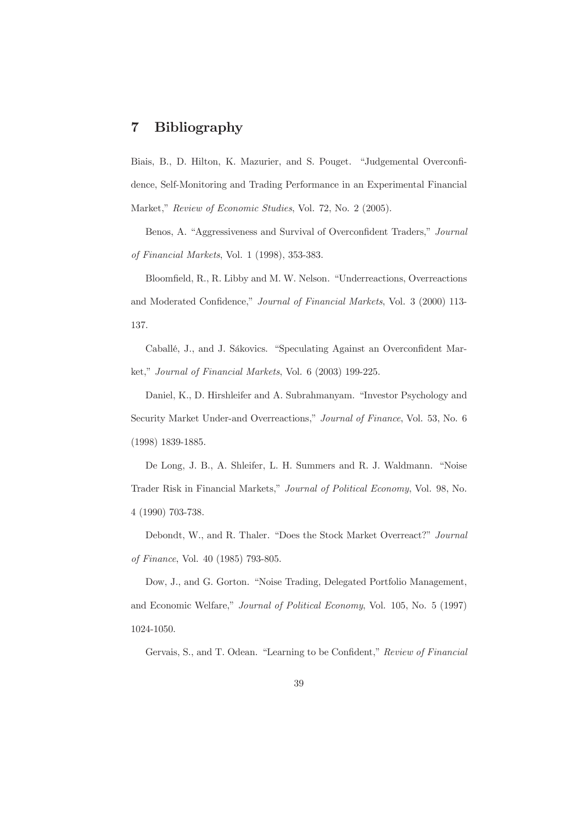#### **Bibliography**  $\overline{7}$

Biais, B., D. Hilton, K. Mazurier, and S. Pouget. "Judgemental Overconfidence, Self-Monitoring and Trading Performance in an Experimental Financial Market," Review of Economic Studies, Vol. 72, No. 2 (2005).

Benos, A. "Aggressiveness and Survival of Overconfident Traders," Journal of Financial Markets, Vol. 1 (1998), 353-383.

Bloomfield, R., R. Libby and M. W. Nelson. "Underreactions, Overreactions and Moderated Confidence," Journal of Financial Markets, Vol. 3 (2000) 113-137.

Caballé, J., and J. Sákovics. "Speculating Against an Overconfident Market," Journal of Financial Markets, Vol. 6 (2003) 199-225.

Daniel, K., D. Hirshleifer and A. Subrahmanyam. "Investor Psychology and Security Market Under-and Overreactions," Journal of Finance, Vol. 53, No. 6  $(1998)$  1839-1885.

De Long, J. B., A. Shleifer, L. H. Summers and R. J. Waldmann. "Noise Trader Risk in Financial Markets," Journal of Political Economy, Vol. 98, No. 4 (1990) 703-738.

Debondt, W., and R. Thaler. "Does the Stock Market Overreact?" Journal of Finance, Vol. 40 (1985) 793-805.

Dow, J., and G. Gorton. "Noise Trading, Delegated Portfolio Management, and Economic Welfare," Journal of Political Economy, Vol. 105, No. 5 (1997) 1024-1050.

Gervais, S., and T. Odean. "Learning to be Confident," Review of Financial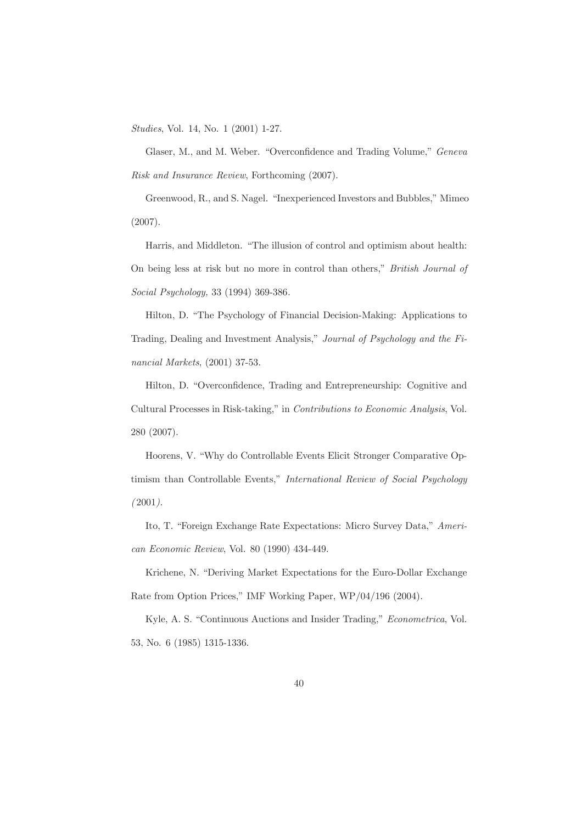*Studies*, Vol. 14, No. 1 (2001) 1-27.

Glaser, M., and M. Weber. "Overconfidence and Trading Volume," Geneva Risk and Insurance Review, Forthcoming (2007).

Greenwood, R., and S. Nagel. "Inexperienced Investors and Bubbles," Mimeo  $(2007).$ 

Harris, and Middleton. "The illusion of control and optimism about health: On being less at risk but no more in control than others," British Journal of Social Psychology, 33 (1994) 369-386.

Hilton, D. "The Psychology of Financial Decision-Making: Applications to Trading, Dealing and Investment Analysis," Journal of Psychology and the Financial Markets,  $(2001)$  37-53.

Hilton, D. "Overconfidence, Trading and Entrepreneurship: Cognitive and Cultural Processes in Risk-taking," in Contributions to Economic Analysis, Vol. 280 (2007).

Hoorens, V. "Why do Controllable Events Elicit Stronger Comparative Optimism than Controllable Events," International Review of Social Psychology  $(2001)$ .

Ito, T. "Foreign Exchange Rate Expectations: Micro Survey Data," American Economic Review, Vol. 80 (1990) 434-449.

Krichene, N. "Deriving Market Expectations for the Euro-Dollar Exchange Rate from Option Prices," IMF Working Paper, WP/04/196 (2004).

Kyle, A. S. "Continuous Auctions and Insider Trading," Econometrica, Vol. 53, No. 6 (1985) 1315-1336.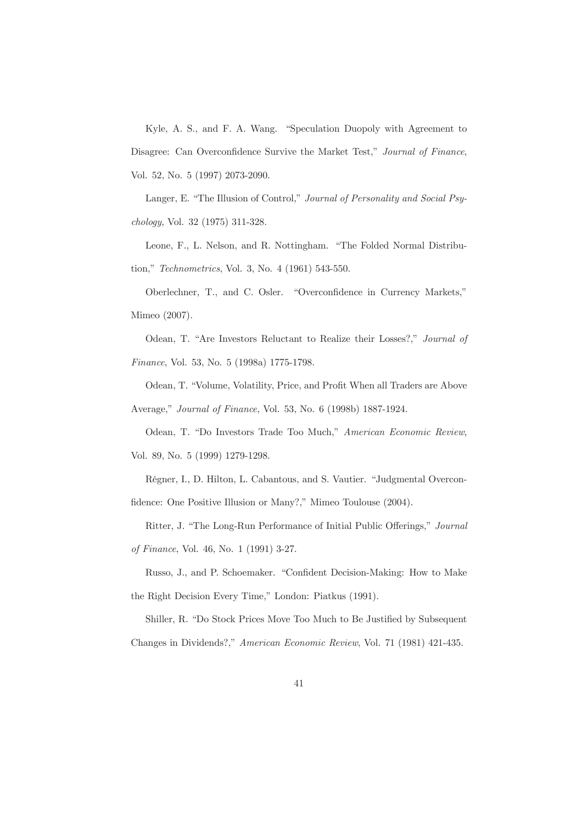Kyle, A. S., and F. A. Wang. "Speculation Duopoly with Agreement to Disagree: Can Overconfidence Survive the Market Test," Journal of Finance, Vol. 52, No. 5 (1997) 2073-2090.

Langer, E. "The Illusion of Control," Journal of Personality and Social Psychology, Vol. 32 (1975) 311-328.

Leone, F., L. Nelson, and R. Nottingham. "The Folded Normal Distribution," Technometrics, Vol. 3, No. 4 (1961) 543-550.

Oberlechner, T., and C. Osler. "Overconfidence in Currency Markets," Mimeo (2007).

Odean, T. "Are Investors Reluctant to Realize their Losses?," Journal of Finance, Vol. 53, No. 5 (1998a) 1775-1798.

Odean, T. "Volume, Volatility, Price, and Profit When all Traders are Above Average," *Journal of Finance*, Vol. 53, No. 6 (1998b) 1887-1924.

Odean, T. "Do Investors Trade Too Much," American Economic Review, Vol. 89, No. 5 (1999) 1279-1298.

Régner, I., D. Hilton, L. Cabantous, and S. Vautier. "Judgmental Overconfidence: One Positive Illusion or Many?," Mimeo Toulouse (2004).

Ritter, J. "The Long-Run Performance of Initial Public Offerings," Journal

of Finance, Vol. 46, No. 1 (1991) 3-27.

Russo, J., and P. Schoemaker. "Confident Decision-Making: How to Make the Right Decision Every Time," London: Piatkus (1991).

Shiller, R. "Do Stock Prices Move Too Much to Be Justified by Subsequent Changes in Dividends?," American Economic Review, Vol. 71 (1981) 421-435.